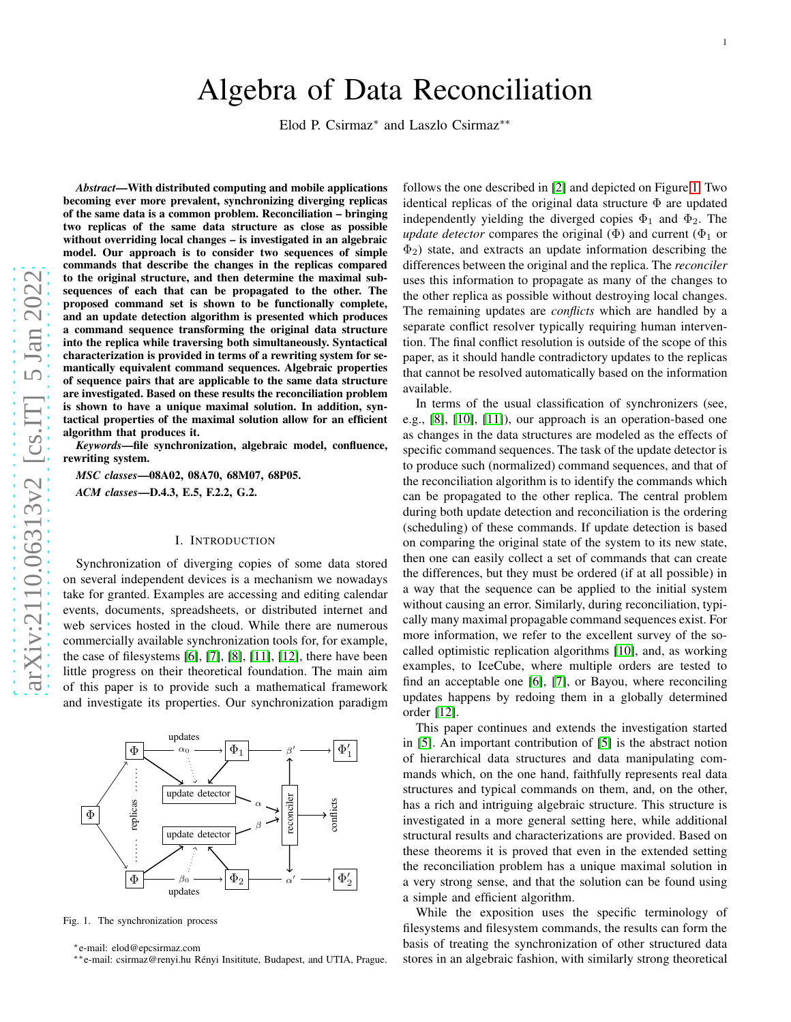# Algebra of Data Reconciliation

Elod P. Csirmaz<sup>\*</sup> and Laszlo Csirmaz<sup>\*\*</sup>

*Abstract*—With distributed computing and mobile applications becoming ever more prevalent, synchronizing diverging replicas of the same data is a common problem. Reconciliation – bringing two replicas of the same data structure as close as possible without overriding local changes – is investigated in an algebraic model. Our approach is to consider two sequences of simple commands that describe the changes in the replicas compared to the original structure, and then determine the maximal subsequences of each that can be propagated to the other. The proposed command set is shown to be functionally complete, and an update detection algorithm is presented which produces a command sequence transforming the original data structur e into the replica while traversing both simultaneously. Syntactical characterization is provided in terms of a rewriting system for semantically equivalent command sequences. Algebraic properties of sequence pairs that are applicable to the same data structure are investigated. Based on these results the reconciliation problem is shown to have a unique maximal solution. In addition, syntactical properties of the maximal solution allow for an efficient algorithm that produces it.

*Keywords*—file synchronization, algebraic model, confluence, rewriting system.

*MSC classes*—08A02, 08A70, 68M07, 68P05. *ACM classes*—D.4.3, E.5, F.2.2, G.2.

## I. INTRODUCTION

Synchronization of diverging copies of some data stored on several independent devices is a mechanism we nowadays take for granted. Examples are accessing and editing calendar events, documents, spreadsheets, or distributed internet and web services hosted in the cloud. While there are numerous commercially available synchronization tools for, for example, the case of filesystems [\[6\]](#page-9-0), [\[7\]](#page-9-1), [\[8\]](#page-9-2), [\[11\]](#page-10-0), [\[12\]](#page-10-1), there have been little progress on their theoretical foundation. The main aim of this paper is to provide such a mathematical framework and investigate its properties. Our synchronization paradigm



Fig. 1. The synchronization process

<span id="page-0-0"></span><sup>∗</sup>e-mail: elod@epcsirmaz.com

∗∗e-mail: csirmaz@renyi.hu R´enyi Insititute, Budapest, and UTIA, Prague.

follows the one described in [\[2\]](#page-9-3) and depicted on Figure [1.](#page-0-0) Two identical replicas of the original data structure Φ are updated independently yielding the diverged copies  $\Phi_1$  and  $\Phi_2$ . The *update detector* compares the original  $(\Phi)$  and current  $(\Phi_1$  or  $\Phi_2$ ) state, and extracts an update information describing the differences between the original and the replica. The *reconciler* uses this information to propagate as many of the changes to the other replica as possible without destroying local changes. The remaining updates are *conflicts* which are handled by a separate conflict resolver typically requiring human intervention. The final conflict resolution is outside of the scope of this paper, as it should handle contradictory updates to the replicas that cannot be resolved automatically based on the information available.

In terms of the usual classification of synchronizers (see, e.g., [\[8\]](#page-9-2), [\[10\]](#page-9-4), [\[11\]](#page-10-0)), our approach is an operation-based one as changes in the data structures are modeled as the effects o f specific command sequences. The task of the update detector i s to produce such (normalized) command sequences, and that of the reconciliation algorithm is to identify the commands which can be propagated to the other replica. The central problem during both update detection and reconciliation is the ordering (scheduling) of these commands. If update detection is base d on comparing the original state of the system to its new state , then one can easily collect a set of commands that can create the differences, but they must be ordered (if at all possible) in a way that the sequence can be applied to the initial system without causing an error. Similarly, during reconciliation, typically many maximal propagable command sequences exist. For more information, we refer to the excellent survey of the socalled optimistic replication algorithms [\[10\]](#page-9-4), and, as working examples, to IceCube, where multiple orders are tested to find an acceptable one [\[6\]](#page-9-0), [\[7\]](#page-9-1), or Bayou, where reconciling updates happens by redoing them in a globally determined order [\[12\]](#page-10-1).

This paper continues and extends the investigation started in [\[5\]](#page-9-5). An important contribution of [\[5\]](#page-9-5) is the abstract notion of hierarchical data structures and data manipulating commands which, on the one hand, faithfully represents real data structures and typical commands on them, and, on the other, has a rich and intriguing algebraic structure. This structure is investigated in a more general setting here, while additional structural results and characterizations are provided. Based on these theorems it is proved that even in the extended setting the reconciliation problem has a unique maximal solution in a very strong sense, and that the solution can be found using a simple and efficient algorithm.

While the exposition uses the specific terminology of filesystems and filesystem commands, the results can form the basis of treating the synchronization of other structured data stores in an algebraic fashion, with similarly strong theoretical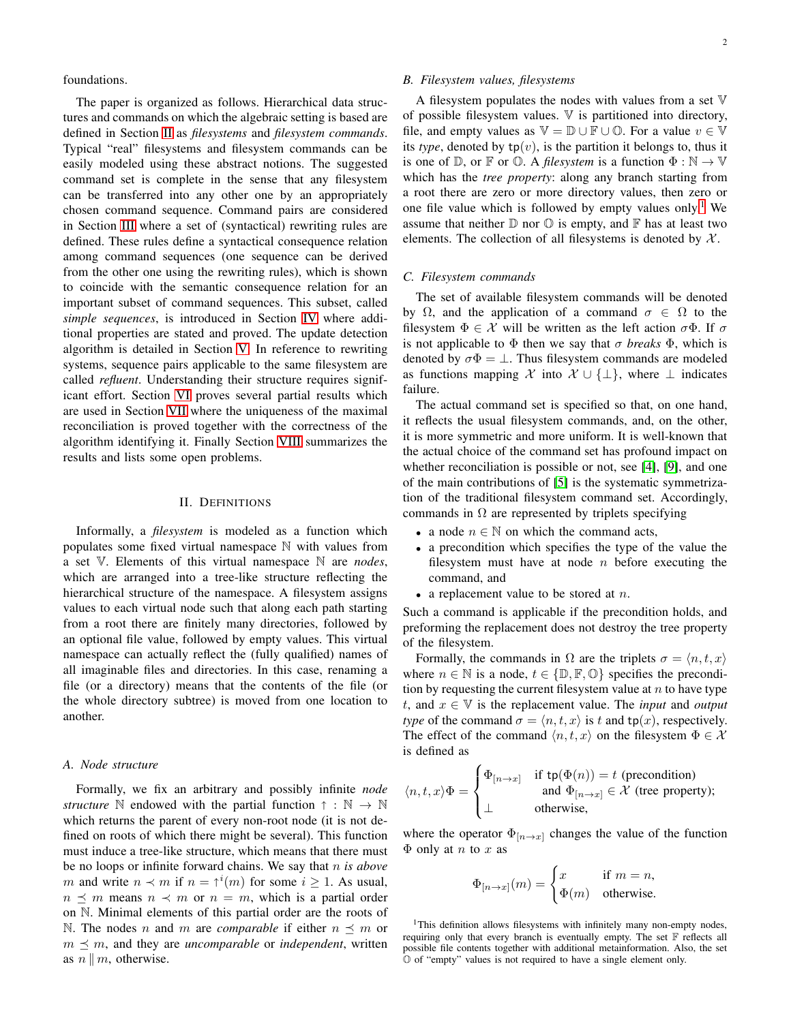foundations.

The paper is organized as follows. Hierarchical data structures and commands on which the algebraic setting is based are defined in Section [II](#page-1-0) as *filesystems* and *filesystem commands*. Typical "real" filesystems and filesystem commands can be easily modeled using these abstract notions. The suggested command set is complete in the sense that any filesystem can be transferred into any other one by an appropriately chosen command sequence. Command pairs are considered in Section [III](#page-3-0) where a set of (syntactical) rewriting rules are defined. These rules define a syntactical consequence relation among command sequences (one sequence can be derived from the other one using the rewriting rules), which is shown to coincide with the semantic consequence relation for an important subset of command sequences. This subset, called *simple sequences*, is introduced in Section [IV](#page-4-0) where additional properties are stated and proved. The update detection algorithm is detailed in Section [V.](#page-6-0) In reference to rewriting systems, sequence pairs applicable to the same filesystem are called *refluent*. Understanding their structure requires significant effort. Section [VI](#page-6-1) proves several partial results which are used in Section [VII](#page-8-0) where the uniqueness of the maximal reconciliation is proved together with the correctness of the algorithm identifying it. Finally Section [VIII](#page-9-6) summarizes the results and lists some open problems.

#### II. DEFINITIONS

<span id="page-1-0"></span>Informally, a *filesystem* is modeled as a function which populates some fixed virtual namespace N with values from a set V. Elements of this virtual namespace N are *nodes*, which are arranged into a tree-like structure reflecting the hierarchical structure of the namespace. A filesystem assigns values to each virtual node such that along each path starting from a root there are finitely many directories, followed by an optional file value, followed by empty values. This virtual namespace can actually reflect the (fully qualified) names of all imaginable files and directories. In this case, renaming a file (or a directory) means that the contents of the file (or the whole directory subtree) is moved from one location to another.

## *A. Node structure*

Formally, we fix an arbitrary and possibly infinite *node structure*  $\mathbb N$  endowed with the partial function  $\uparrow : \mathbb N \to \mathbb N$ which returns the parent of every non-root node (it is not defined on roots of which there might be several). This function must induce a tree-like structure, which means that there must be no loops or infinite forward chains. We say that n *is above* m and write  $n \prec m$  if  $n = \uparrow^{i}(m)$  for some  $i \geq 1$ . As usual,  $n \leq m$  means  $n \leq m$  or  $n = m$ , which is a partial order on N. Minimal elements of this partial order are the roots of N. The nodes *n* and *m* are *comparable* if either  $n \leq m$  or  $m \leq m$ , and they are *uncomparable* or *independent*, written as  $n \parallel m$ , otherwise.

## *B. Filesystem values, filesystems*

A filesystem populates the nodes with values from a set V of possible filesystem values. V is partitioned into directory, file, and empty values as  $\mathbb{V} = \mathbb{D} \cup \mathbb{F} \cup \mathbb{O}$ . For a value  $v \in \mathbb{V}$ its *type*, denoted by  $tp(v)$ , is the partition it belongs to, thus it is one of  $\mathbb{D}$ , or  $\mathbb{F}$  or  $\mathbb{O}$ . A *filesystem* is a function  $\Phi : \mathbb{N} \to \mathbb{V}$ which has the *tree property*: along any branch starting from a root there are zero or more directory values, then zero or one file value which is followed by empty values only.<sup>[1](#page-1-1)</sup> We assume that neither  $\mathbb D$  nor  $\mathbb O$  is empty, and  $\mathbb F$  has at least two elements. The collection of all filesystems is denoted by  $X$ .

# *C. Filesystem commands*

The set of available filesystem commands will be denoted by  $\Omega$ , and the application of a command  $\sigma \in \Omega$  to the filesystem  $\Phi \in \mathcal{X}$  will be written as the left action  $\sigma \Phi$ . If  $\sigma$ is not applicable to  $\Phi$  then we say that  $\sigma$  *breaks*  $\Phi$ , which is denoted by  $\sigma \Phi = \bot$ . Thus filesystem commands are modeled as functions mapping X into  $\mathcal{X} \cup \{\perp\}$ , where  $\perp$  indicates failure.

The actual command set is specified so that, on one hand, it reflects the usual filesystem commands, and, on the other, it is more symmetric and more uniform. It is well-known that the actual choice of the command set has profound impact on whether reconciliation is possible or not, see [\[4\]](#page-9-7), [\[9\]](#page-9-8), and one of the main contributions of [\[5\]](#page-9-5) is the systematic symmetrization of the traditional filesystem command set. Accordingly, commands in  $\Omega$  are represented by triplets specifying

- a node  $n \in \mathbb{N}$  on which the command acts,
- a precondition which specifies the type of the value the filesystem must have at node  $n$  before executing the command, and
- a replacement value to be stored at  $n$ .

Such a command is applicable if the precondition holds, and preforming the replacement does not destroy the tree property of the filesystem.

Formally, the commands in  $\Omega$  are the triplets  $\sigma = \langle n, t, x \rangle$ where  $n \in \mathbb{N}$  is a node,  $t \in \{\mathbb{D}, \mathbb{F}, \mathbb{O}\}\$  specifies the precondition by requesting the current filesystem value at  $n$  to have type t, and  $x \in V$  is the replacement value. The *input* and *output type* of the command  $\sigma = \langle n, t, x \rangle$  is t and tp(x), respectively. The effect of the command  $\langle n, t, x \rangle$  on the filesystem  $\Phi \in \mathcal{X}$ is defined as

$$
\langle n, t, x \rangle \Phi = \begin{cases} \Phi_{[n \to x]} & \text{if } \mathsf{tp}(\Phi(n)) = t \text{ (precondition)} \\ \text{and } \Phi_{[n \to x]} \in \mathcal{X} \text{ (tree property)}; \\ \perp & \text{otherwise,} \end{cases}
$$

where the operator  $\Phi_{[n \to x]}$  changes the value of the function  $\Phi$  only at *n* to *x* as

$$
\Phi_{[n \to x]}(m) = \begin{cases} x & \text{if } m = n, \\ \Phi(m) & \text{otherwise.} \end{cases}
$$

<span id="page-1-1"></span><sup>1</sup>This definition allows filesystems with infinitely many non-empty nodes, requiring only that every branch is eventually empty. The set  $F$  reflects all possible file contents together with additional metainformation. Also, the set O of "empty" values is not required to have a single element only.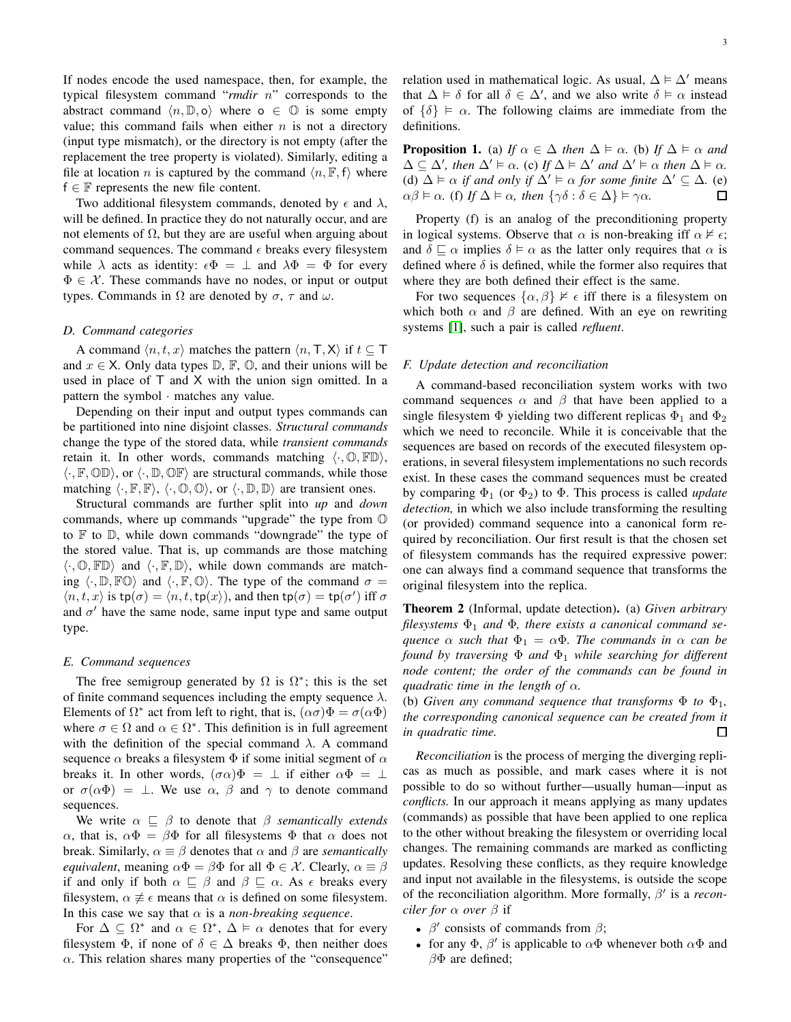If nodes encode the used namespace, then, for example, the typical filesystem command "*rmdir* n" corresponds to the abstract command  $\langle n, \mathbb{D}, \mathsf{o} \rangle$  where  $\mathsf{o} \in \mathbb{O}$  is some empty value; this command fails when either  $n$  is not a directory (input type mismatch), or the directory is not empty (after the replacement the tree property is violated). Similarly, editing a file at location n is captured by the command  $\langle n, \mathbb{F}, f \rangle$  where  $f \in \mathbb{F}$  represents the new file content.

Two additional filesystem commands, denoted by  $\epsilon$  and  $\lambda$ , will be defined. In practice they do not naturally occur, and are not elements of  $Ω$ , but they are are useful when arguing about command sequences. The command  $\epsilon$  breaks every filesystem while  $\lambda$  acts as identity:  $\epsilon \Phi = \perp$  and  $\lambda \Phi = \Phi$  for every  $\Phi \in \mathcal{X}$ . These commands have no nodes, or input or output types. Commands in  $\Omega$  are denoted by  $\sigma$ ,  $\tau$  and  $\omega$ .

#### *D. Command categories*

A command  $\langle n, t, x \rangle$  matches the pattern  $\langle n, T, X \rangle$  if  $t \subset T$ and  $x \in X$ . Only data types  $\mathbb{D}$ ,  $\mathbb{F}$ ,  $\mathbb{O}$ , and their unions will be used in place of T and X with the union sign omitted. In a pattern the symbol · matches any value.

Depending on their input and output types commands can be partitioned into nine disjoint classes. *Structural commands* change the type of the stored data, while *transient commands* retain it. In other words, commands matching  $\langle \cdot, \mathbb{O}, \mathbb{F} \mathbb{D} \rangle$ ,  $\langle \cdot, \mathbb{F}, \mathbb{OD} \rangle$ , or  $\langle \cdot, \mathbb{D}, \mathbb{OP} \rangle$  are structural commands, while those matching  $\langle \cdot, \mathbb{F}, \mathbb{F} \rangle$ ,  $\langle \cdot, \mathbb{O}, \mathbb{O} \rangle$ , or  $\langle \cdot, \mathbb{D}, \mathbb{D} \rangle$  are transient ones.

Structural commands are further split into *up* and *down* commands, where up commands "upgrade" the type from O to  $\mathbb F$  to  $\mathbb D$ , while down commands "downgrade" the type of the stored value. That is, up commands are those matching  $\langle \cdot, \mathbb{O}, \mathbb{F} \mathbb{D} \rangle$  and  $\langle \cdot, \mathbb{F}, \mathbb{D} \rangle$ , while down commands are matching  $\langle \cdot, \mathbb{D}, \mathbb{FO} \rangle$  and  $\langle \cdot, \mathbb{F}, \mathbb{O} \rangle$ . The type of the command  $\sigma =$  $\langle n, t, x \rangle$  is tp $(\sigma) = \langle n, t, \text{tp}(x) \rangle$ , and then tp $(\sigma) = \text{tp}(\sigma')$  iff  $\sigma$ and  $\sigma'$  have the same node, same input type and same output type.

# *E. Command sequences*

The free semigroup generated by  $\Omega$  is  $\Omega^*$ ; this is the set of finite command sequences including the empty sequence  $\lambda$ . Elements of  $\Omega^*$  act from left to right, that is,  $(\alpha \sigma)\Phi = \sigma(\alpha \Phi)$ where  $\sigma \in \Omega$  and  $\alpha \in \Omega^*$ . This definition is in full agreement with the definition of the special command  $\lambda$ . A command sequence  $\alpha$  breaks a filesystem  $\Phi$  if some initial segment of  $\alpha$ breaks it. In other words,  $(\sigma \alpha)\Phi = \perp$  if either  $\alpha \Phi = \perp$ or  $\sigma(\alpha\Phi) = \perp$ . We use  $\alpha$ ,  $\beta$  and  $\gamma$  to denote command sequences.

We write  $\alpha \subseteq \beta$  to denote that  $\beta$  *semantically extends*  $\alpha$ , that is,  $\alpha \Phi = \beta \Phi$  for all filesystems  $\Phi$  that  $\alpha$  does not break. Similarly,  $\alpha \equiv \beta$  denotes that  $\alpha$  and  $\beta$  are *semantically equivalent*, meaning  $\alpha \Phi = \beta \Phi$  for all  $\Phi \in \mathcal{X}$ . Clearly,  $\alpha \equiv \beta$ if and only if both  $\alpha \sqsubseteq \beta$  and  $\beta \sqsubseteq \alpha$ . As  $\epsilon$  breaks every filesystem,  $\alpha \not\equiv \epsilon$  means that  $\alpha$  is defined on some filesystem. In this case we say that  $\alpha$  is a *non-breaking sequence*.

For  $\Delta \subseteq \Omega^*$  and  $\alpha \in \Omega^*$ ,  $\Delta \models \alpha$  denotes that for every filesystem  $\Phi$ , if none of  $\delta \in \Delta$  breaks  $\Phi$ , then neither does  $\alpha$ . This relation shares many properties of the "consequence" relation used in mathematical logic. As usual,  $\Delta \models \Delta'$  means that  $\Delta \models \delta$  for all  $\delta \in \Delta'$ , and we also write  $\delta \models \alpha$  instead of  $\{\delta\} \models \alpha$ . The following claims are immediate from the definitions.

<span id="page-2-1"></span>**Proposition 1.** (a) *If*  $\alpha \in \Delta$  *then*  $\Delta \models \alpha$ . (b) *If*  $\Delta \models \alpha$  *and*  $\Delta \subseteq \Delta'$ , then  $\Delta' \models \alpha$ . (c) If  $\Delta \models \Delta'$  and  $\Delta' \models \alpha$  then  $\Delta \models \alpha$ . (d)  $\Delta \models \alpha$  *if and only if*  $\Delta' \models \alpha$  *for some finite*  $\Delta' \subseteq \Delta$ *.* (e)  $\alpha\beta \vDash \alpha$ . (f) If  $\Delta \vDash \alpha$ , then  $\{\gamma\delta : \delta \in \Delta\} \vDash \gamma\alpha$ . П

Property (f) is an analog of the preconditioning property in logical systems. Observe that  $\alpha$  is non-breaking iff  $\alpha \nvDash \epsilon$ ; and  $\delta \sqsubseteq \alpha$  implies  $\delta \models \alpha$  as the latter only requires that  $\alpha$  is defined where  $\delta$  is defined, while the former also requires that where they are both defined their effect is the same.

For two sequences  $\{\alpha, \beta\} \not\vDash \epsilon$  iff there is a filesystem on which both  $\alpha$  and  $\beta$  are defined. With an eye on rewriting systems [\[1\]](#page-9-9), such a pair is called *refluent*.

#### *F. Update detection and reconciliation*

A command-based reconciliation system works with two command sequences  $\alpha$  and  $\beta$  that have been applied to a single filesystem  $\Phi$  yielding two different replicas  $\Phi_1$  and  $\Phi_2$ which we need to reconcile. While it is conceivable that the sequences are based on records of the executed filesystem operations, in several filesystem implementations no such records exist. In these cases the command sequences must be created by comparing  $\Phi_1$  (or  $\Phi_2$ ) to  $\Phi$ . This process is called *update detection,* in which we also include transforming the resulting (or provided) command sequence into a canonical form required by reconciliation. Our first result is that the chosen set of filesystem commands has the required expressive power: one can always find a command sequence that transforms the original filesystem into the replica.

<span id="page-2-0"></span>Theorem 2 (Informal, update detection). (a) *Given arbitrary filesystems* Φ<sup>1</sup> *and* Φ*, there exists a canonical command sequence*  $\alpha$  *such that*  $\Phi_1 = \alpha \Phi$ *. The commands in*  $\alpha$  *can be found by traversing* Φ *and* Φ<sup>1</sup> *while searching for different node content; the order of the commands can be found in quadratic time in the length of*  $\alpha$ *.* 

(b) *Given any command sequence that transforms*  $\Phi$  *to*  $\Phi_1$ *, the corresponding canonical sequence can be created from it in quadratic time.*  $\Box$ 

*Reconciliation* is the process of merging the diverging replicas as much as possible, and mark cases where it is not possible to do so without further—usually human—input as *conflicts.* In our approach it means applying as many updates (commands) as possible that have been applied to one replica to the other without breaking the filesystem or overriding local changes. The remaining commands are marked as conflicting updates. Resolving these conflicts, as they require knowledge and input not available in the filesystems, is outside the scope of the reconciliation algorithm. More formally, β ′ is a *reconciler for* α *over* β if

- $\beta'$  consists of commands from  $\beta$ ;
- for any  $\Phi$ ,  $\beta'$  is applicable to  $\alpha\bar{\Phi}$  whenever both  $\alpha\bar{\Phi}$  and  $\beta\Phi$  are defined;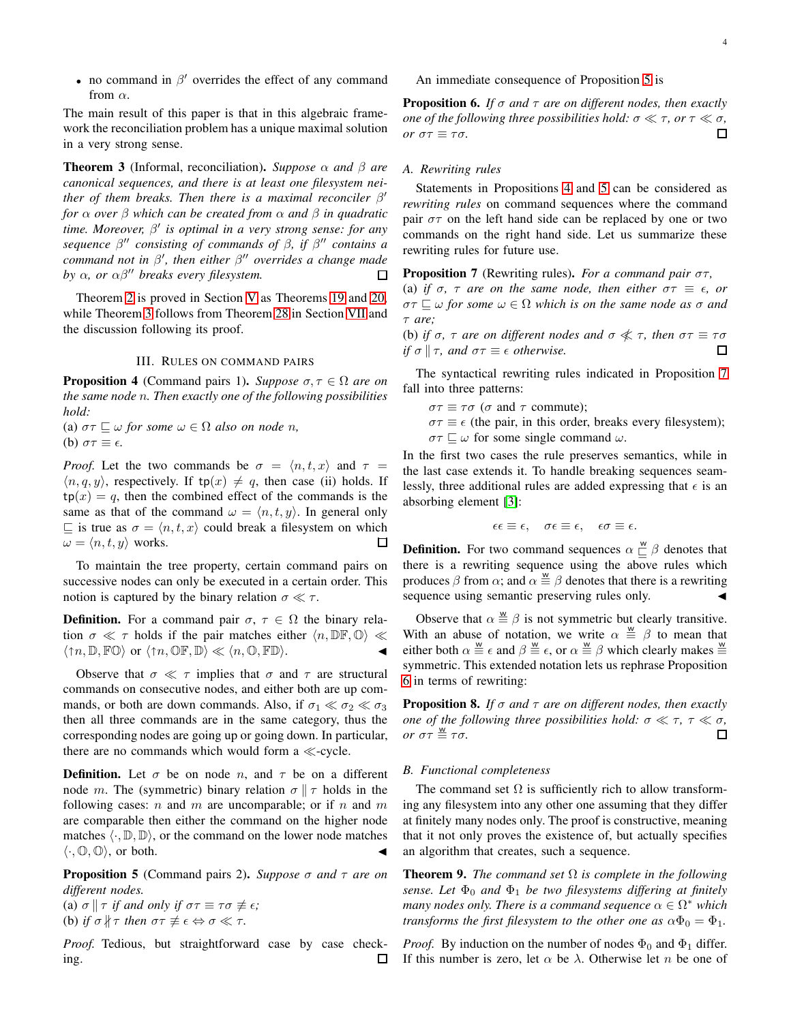• no command in  $\beta'$  overrides the effect of any command from  $\alpha$ .

The main result of this paper is that in this algebraic framework the reconciliation problem has a unique maximal solution in a very strong sense.

<span id="page-3-1"></span>**Theorem 3** (Informal, reconciliation). *Suppose*  $\alpha$  *and*  $\beta$  *are canonical sequences, and there is at least one filesystem neither of them breaks. Then there is a maximal reconciler* β ′ *for* α *over* β *which can be created from* α *and* β *in quadratic time. Moreover,* β ′ *is optimal in a very strong sense: for any sequence* β ′′ *consisting of commands of* β*, if* β ′′ *contains a command not in* β ′ *, then either* β ′′ *overrides a change made by*  $\alpha$ *, or*  $\alpha\beta''$  *breaks every filesystem.*  $\Box$ 

Theorem [2](#page-2-0) is proved in Section [V](#page-6-0) as Theorems [19](#page-6-2) and [20,](#page-6-3) while Theorem [3](#page-3-1) follows from Theorem [28](#page-8-1) in Section [VII](#page-8-0) and the discussion following its proof.

# III. RULES ON COMMAND PAIRS

<span id="page-3-3"></span><span id="page-3-0"></span>**Proposition 4** (Command pairs 1). *Suppose*  $\sigma, \tau \in \Omega$  *are on the same node* n*. Then exactly one of the following possibilities hold:*

(a)  $\sigma\tau \sqsubseteq \omega$  *for some*  $\omega \in \Omega$  *also on node n*, (b)  $\sigma\tau \equiv \epsilon$ .

*Proof.* Let the two commands be  $\sigma = \langle n, t, x \rangle$  and  $\tau =$  $\langle n, q, y \rangle$ , respectively. If tp $(x) \neq q$ , then case (ii) holds. If  $tp(x) = q$ , then the combined effect of the commands is the same as that of the command  $\omega = \langle n, t, y \rangle$ . In general only  $\Box$  is true as  $\sigma = \langle n, t, x \rangle$  could break a filesystem on which  $\omega = \langle n, t, y \rangle$  works.  $\Box$ 

To maintain the tree property, certain command pairs on successive nodes can only be executed in a certain order. This notion is captured by the binary relation  $\sigma \ll \tau$ .

**Definition.** For a command pair  $\sigma$ ,  $\tau \in \Omega$  the binary relation  $\sigma \ll \tau$  holds if the pair matches either  $\langle n, \mathbb{DF}, \mathbb{O} \rangle \ll$  $\langle \uparrow n, \mathbb{D}, \mathbb{F} \mathbb{O} \rangle$  or  $\langle \uparrow n, \mathbb{O} \mathbb{F}, \mathbb{D} \rangle \ll \langle n, \mathbb{O}, \mathbb{F} \mathbb{D} \rangle.$ 

Observe that  $\sigma \ll \tau$  implies that  $\sigma$  and  $\tau$  are structural commands on consecutive nodes, and either both are up commands, or both are down commands. Also, if  $\sigma_1 \ll \sigma_2 \ll \sigma_3$ then all three commands are in the same category, thus the corresponding nodes are going up or going down. In particular, there are no commands which would form a ≪-cycle.

**Definition.** Let  $\sigma$  be on node *n*, and  $\tau$  be on a different node m. The (symmetric) binary relation  $\sigma \parallel \tau$  holds in the following cases:  $n$  and  $m$  are uncomparable; or if  $n$  and  $m$ are comparable then either the command on the higher node matches  $\langle \cdot, \mathbb{D}, \mathbb{D} \rangle$ , or the command on the lower node matches  $\langle \cdot, \mathbb{O}, \mathbb{O} \rangle$ , or both.

<span id="page-3-2"></span>Proposition 5 (Command pairs 2). *Suppose* σ *and* τ *are on different nodes.* (a)  $\sigma \parallel \tau$  *if and only if*  $\sigma \tau \equiv \tau \sigma \not\equiv \epsilon$ ;

(b) *if*  $\sigma \nparallel \tau$  *then*  $\sigma \tau \not\equiv \epsilon \Leftrightarrow \sigma \ll \tau$ *.* 

*Proof.* Tedious, but straightforward case by case checking. □ An immediate consequence of Proposition [5](#page-3-2) is

<span id="page-3-5"></span>Proposition 6. *If* σ *and* τ *are on different nodes, then exactly one of the following three possibilities hold:*  $\sigma \ll \tau$ , *or*  $\tau \ll \sigma$ , *or*  $\sigma\tau \equiv \tau\sigma$ *.*  $\Box$ 

# *A. Rewriting rules*

Statements in Propositions [4](#page-3-3) and [5](#page-3-2) can be considered as *rewriting rules* on command sequences where the command pair  $\sigma\tau$  on the left hand side can be replaced by one or two commands on the right hand side. Let us summarize these rewriting rules for future use.

<span id="page-3-4"></span>Proposition 7 (Rewriting rules). *For a command pair* στ*,*

(a) *if*  $\sigma$ ,  $\tau$  *are on the same node, then either*  $\sigma\tau \equiv \epsilon$ *, or*  $\sigma\tau \sqsubseteq \omega$  *for some*  $\omega \in \Omega$  *which is on the same node as*  $\sigma$  *and* τ *are;*

(b) *if*  $\sigma$ ,  $\tau$  *are on different nodes and*  $\sigma \ll \tau$ *, then*  $\sigma \tau \equiv \tau \sigma$ *if*  $\sigma \parallel \tau$ , and  $\sigma \tau \equiv \epsilon$  *otherwise.*  $\Box$ 

The syntactical rewriting rules indicated in Proposition [7](#page-3-4) fall into three patterns:

 $\sigma\tau \equiv \tau\sigma$  ( $\sigma$  and  $\tau$  commute);

 $\sigma \tau \equiv \epsilon$  (the pair, in this order, breaks every filesystem);  $\sigma\tau \sqsubseteq \omega$  for some single command  $\omega$ .

In the first two cases the rule preserves semantics, while in the last case extends it. To handle breaking sequences seamlessly, three additional rules are added expressing that  $\epsilon$  is an absorbing element [\[3\]](#page-9-10):

$$
\epsilon \epsilon \equiv \epsilon, \quad \sigma \epsilon \equiv \epsilon, \quad \epsilon \sigma \equiv \epsilon.
$$

**Definition.** For two command sequences  $\alpha \stackrel{\text{w}}{\sqsubseteq} \beta$  denotes that there is a rewriting sequence using the above rules which produces  $\beta$  from  $\alpha$ ; and  $\alpha \stackrel{w}{=} \beta$  denotes that there is a rewriting sequence using semantic preserving rules only.

Observe that  $\alpha \stackrel{\text{w}}{=} \beta$  is not symmetric but clearly transitive. With an abuse of notation, we write  $\alpha \equiv \beta$  to mean that either both  $\alpha \stackrel{w}{\equiv} \epsilon$  and  $\beta \stackrel{w}{\equiv} \epsilon$ , or  $\alpha \stackrel{w}{\equiv} \beta$  which clearly makes  $\stackrel{w}{\equiv}$ symmetric. This extended notation lets us rephrase Proposition [6](#page-3-5) in terms of rewriting:

<span id="page-3-6"></span>Proposition 8. *If* σ *and* τ *are on different nodes, then exactly one of the following three possibilities hold:*  $\sigma \ll \tau$ ,  $\tau \ll \sigma$ ,  $or \sigma \tau \stackrel{w}{\equiv} \tau \sigma.$  $\Box$ 

## *B. Functional completeness*

The command set  $\Omega$  is sufficiently rich to allow transforming any filesystem into any other one assuming that they differ at finitely many nodes only. The proof is constructive, meaning that it not only proves the existence of, but actually specifies an algorithm that creates, such a sequence.

<span id="page-3-7"></span>Theorem 9. *The command set* Ω *is complete in the following sense. Let*  $\Phi_0$  *and*  $\Phi_1$  *be two filesystems differing at finitely many nodes only. There is a command sequence*  $\alpha \in \Omega^*$  *which transforms the first filesystem to the other one as*  $\alpha \Phi_0 = \Phi_1$ .

*Proof.* By induction on the number of nodes  $\Phi_0$  and  $\Phi_1$  differ. If this number is zero, let  $\alpha$  be  $\lambda$ . Otherwise let n be one of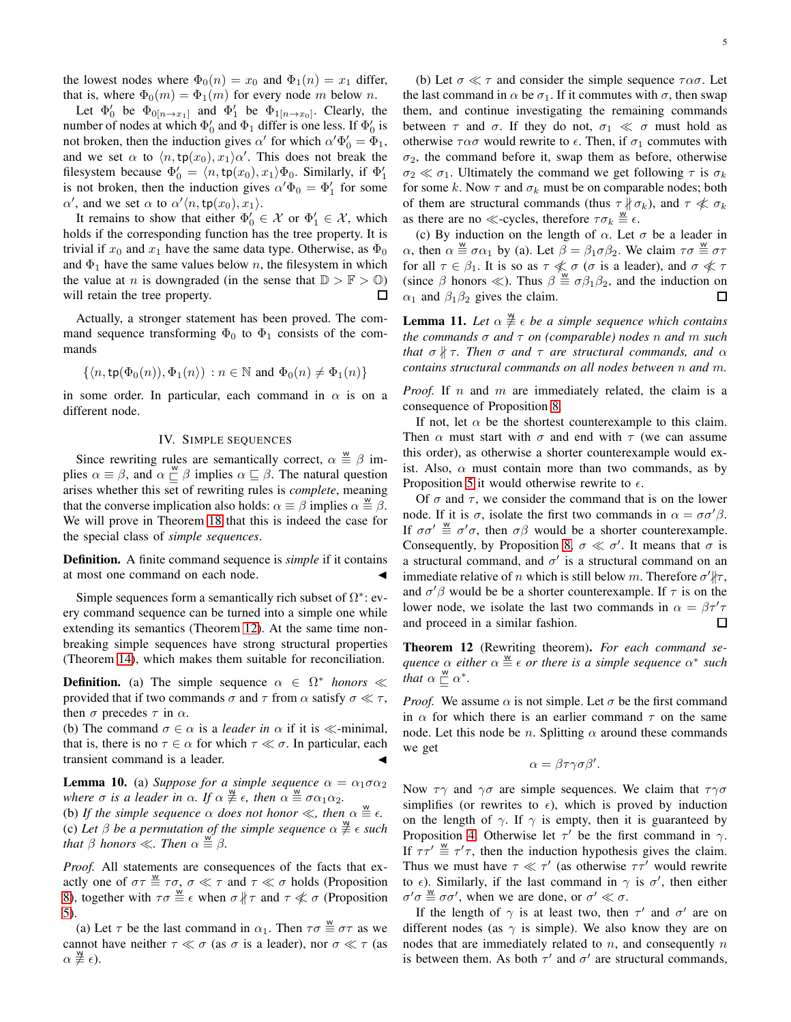the lowest nodes where  $\Phi_0(n) = x_0$  and  $\Phi_1(n) = x_1$  differ, that is, where  $\Phi_0(m) = \Phi_1(m)$  for every node m below n.

Let  $\Phi'_0$  be  $\Phi_{0[n\to x_1]}$  and  $\Phi'_1$  be  $\Phi_{1[n\to x_0]}$ . Clearly, the number of nodes at which  $\Phi'_0$  and  $\Phi_1$  differ is one less. If  $\Phi'_0$  is not broken, then the induction gives  $\alpha'$  for which  $\alpha' \Phi'_0 = \Phi_1$ , and we set  $\alpha$  to  $\langle n, \text{tp}(x_0), x_1 \rangle \alpha'$ . This does not break the filesystem because  $\Phi'_0 = \langle n, \text{tp}(x_0), x_1 \rangle \Phi_0$ . Similarly, if  $\Phi'_1$ is not broken, then the induction gives  $\alpha' \Phi_0 = \Phi'_1$  for some  $\alpha'$ , and we set  $\alpha$  to  $\alpha' \langle n, \text{tp}(x_0), x_1 \rangle$ .

It remains to show that either  $\Phi'_0 \in \mathcal{X}$  or  $\Phi'_1 \in \mathcal{X}$ , which holds if the corresponding function has the tree property. It is trivial if  $x_0$  and  $x_1$  have the same data type. Otherwise, as  $\Phi_0$ and  $\Phi_1$  have the same values below n, the filesystem in which the value at *n* is downgraded (in the sense that  $\mathbb{D} > \mathbb{F} > 0$ ) will retain the tree property. 口

Actually, a stronger statement has been proved. The command sequence transforming  $\Phi_0$  to  $\Phi_1$  consists of the commands

$$
\{\langle n, \operatorname{tp}(\Phi_0(n)), \Phi_1(n)\rangle : n \in \mathbb{N} \text{ and } \Phi_0(n) \neq \Phi_1(n)\}\
$$

<span id="page-4-0"></span>in some order. In particular, each command in  $\alpha$  is on a different node.

# IV. SIMPLE SEQUENCES

Since rewriting rules are semantically correct,  $\alpha \stackrel{\text{w}}{\equiv} \beta$  implies  $\alpha \equiv \beta$ , and  $\alpha \sqsubseteq \beta$  implies  $\alpha \sqsubseteq \beta$ . The natural question arises whether this set of rewriting rules is *complete*, meaning that the converse implication also holds:  $\alpha \equiv \beta$  implies  $\alpha \stackrel{\text{w}}{\equiv} \beta$ . We will prove in Theorem [18](#page-6-4) that this is indeed the case for the special class of *simple sequences*.

Definition. A finite command sequence is *simple* if it contains at most one command on each node.

Simple sequences form a semantically rich subset of  $\Omega^*$ : every command sequence can be turned into a simple one while extending its semantics (Theorem [12\)](#page-4-1). At the same time nonbreaking simple sequences have strong structural properties (Theorem [14\)](#page-5-0), which makes them suitable for reconciliation.

**Definition.** (a) The simple sequence  $\alpha \in \Omega^*$  *honors* ≪ provided that if two commands  $\sigma$  and  $\tau$  from  $\alpha$  satisfy  $\sigma \ll \tau$ , then  $\sigma$  precedes  $\tau$  in  $\alpha$ .

(b) The command  $\sigma \in \alpha$  is a *leader in*  $\alpha$  if it is  $\ll$ -minimal, that is, there is no  $\tau \in \alpha$  for which  $\tau \ll \sigma$ . In particular, each transient command is a leader.

<span id="page-4-3"></span>**Lemma 10.** (a) *Suppose for a simple sequence*  $\alpha = \alpha_1 \sigma \alpha_2$ where  $\sigma$  is a leader in  $\alpha$ . If  $\alpha \not\equiv \epsilon$ , then  $\alpha \not\equiv \sigma \alpha_1 \alpha_2$ .

(b) If the simple sequence  $\alpha$  does not honor  $\ll$ , then  $\alpha \stackrel{\text{w}}{\equiv} \epsilon$ . (c) Let  $\beta$  be a permutation of the simple sequence  $\alpha \neq \epsilon$  such *that*  $\beta$  *honors*  $\ll$ *. Then*  $\alpha \stackrel{\text{w}}{\equiv} \beta$ *.* 

*Proof.* All statements are consequences of the facts that exactly one of  $\sigma \tau \stackrel{w}{\equiv} \tau \sigma$ ,  $\sigma \ll \tau$  and  $\tau \ll \sigma$  holds (Proposition [8\)](#page-3-6), together with  $\tau \sigma \stackrel{\text{w}}{=} \epsilon$  when  $\sigma \nparallel \tau$  and  $\tau \nless \sigma$  (Proposition [5\)](#page-3-2).

(a) Let  $\tau$  be the last command in  $\alpha_1$ . Then  $\tau \sigma \stackrel{w}{=} \sigma \tau$  as we cannot have neither  $\tau \ll \sigma$  (as  $\sigma$  is a leader), nor  $\sigma \ll \tau$  (as  $\alpha \not\equiv \epsilon$ ).

(b) Let  $\sigma \ll \tau$  and consider the simple sequence  $\tau \alpha \sigma$ . Let the last command in  $\alpha$  be  $\sigma_1$ . If it commutes with  $\sigma$ , then swap them, and continue investigating the remaining commands between  $\tau$  and  $\sigma$ . If they do not,  $\sigma_1 \ll \sigma$  must hold as otherwise  $\tau \alpha \sigma$  would rewrite to  $\epsilon$ . Then, if  $\sigma_1$  commutes with  $\sigma_2$ , the command before it, swap them as before, otherwise  $\sigma_2 \ll \sigma_1$ . Ultimately the command we get following  $\tau$  is  $\sigma_k$ for some k. Now  $\tau$  and  $\sigma_k$  must be on comparable nodes; both of them are structural commands (thus  $\tau \nparallel \sigma_k$ ), and  $\tau \nparallel \sigma_k$ as there are no ≪-cycles, therefore  $\tau \sigma_k \stackrel{\text{w}}{=} \epsilon$ .

(c) By induction on the length of  $\alpha$ . Let  $\sigma$  be a leader in  $\alpha$ , then  $\alpha \equiv \sigma \alpha_1$  by (a). Let  $\beta = \beta_1 \sigma \beta_2$ . We claim  $\tau \sigma \equiv \sigma \tau$ for all  $\tau \in \beta_1$ . It is so as  $\tau \not\ll \sigma$  ( $\sigma$  is a leader), and  $\sigma \not\ll \tau$ (since  $\beta$  honors  $\ll$ ). Thus  $\beta \stackrel{\prime \omega}{=} \sigma \beta_1 \beta_2$ , and the induction on  $\alpha_1$  and  $\beta_1\beta_2$  gives the claim.  $\Box$ 

<span id="page-4-2"></span>**Lemma 11.** Let  $\alpha \neq e$  be a simple sequence which contains *the commands* σ *and* τ *on (comparable) nodes* n *and* m *such that*  $\sigma$   $\sharp$   $\tau$ *. Then*  $\sigma$  *and*  $\tau$  *are structural commands, and*  $\alpha$ *contains structural commands on all nodes between* n *and* m*.*

*Proof.* If  $n$  and  $m$  are immediately related, the claim is a consequence of Proposition [8.](#page-3-6)

If not, let  $\alpha$  be the shortest counterexample to this claim. Then  $\alpha$  must start with  $\sigma$  and end with  $\tau$  (we can assume this order), as otherwise a shorter counterexample would exist. Also,  $\alpha$  must contain more than two commands, as by Proposition [5](#page-3-2) it would otherwise rewrite to  $\epsilon$ .

Of  $\sigma$  and  $\tau$ , we consider the command that is on the lower node. If it is  $\sigma$ , isolate the first two commands in  $\alpha = \sigma \sigma' \beta$ . If  $\sigma \sigma' \equiv \sigma' \sigma$ , then  $\sigma \beta$  would be a shorter counterexample. Consequently, by Proposition [8,](#page-3-6)  $\sigma \ll \sigma'$ . It means that  $\sigma$  is a structural command, and  $\sigma'$  is a structural command on an immediate relative of *n* which is still below *m*. Therefore  $\sigma'$  $|\tau$ , and  $\sigma' \beta$  would be be a shorter counterexample. If  $\tau$  is on the lower node, we isolate the last two commands in  $\alpha = \beta \tau' \tau$ and proceed in a similar fashion.  $\Box$ 

<span id="page-4-1"></span>Theorem 12 (Rewriting theorem). *For each command se-* $\phi$  *quence*  $\alpha$  *either*  $\alpha \stackrel{w}{=} \epsilon$  *or there is a simple sequence*  $\alpha^*$  *such that*  $\alpha \sqsubseteq \alpha^*$ .

*Proof.* We assume  $\alpha$  is not simple. Let  $\sigma$  be the first command in  $\alpha$  for which there is an earlier command  $\tau$  on the same node. Let this node be *n*. Splitting  $\alpha$  around these commands we get

$$
\alpha = \beta \tau \gamma \sigma \beta'.
$$

Now  $\tau\gamma$  and  $\gamma\sigma$  are simple sequences. We claim that  $\tau\gamma\sigma$ simplifies (or rewrites to  $\epsilon$ ), which is proved by induction on the length of  $\gamma$ . If  $\gamma$  is empty, then it is guaranteed by Proposition [4.](#page-3-3) Otherwise let  $\tau'$  be the first command in  $\gamma$ . If  $\tau \tau' \stackrel{\text{w}}{=} \tau' \tau$ , then the induction hypothesis gives the claim. Thus we must have  $\tau \ll \tau'$  (as otherwise  $\tau \tau'$  would rewrite to  $\epsilon$ ). Similarly, if the last command in  $\gamma$  is  $\sigma'$ , then either  $\sigma' \sigma \stackrel{\text{w}}{=} \sigma \sigma'$ , when we are done, or  $\sigma' \ll \sigma$ .

If the length of  $\gamma$  is at least two, then  $\tau'$  and  $\sigma'$  are on different nodes (as  $\gamma$  is simple). We also know they are on nodes that are immediately related to  $n$ , and consequently  $n$ is between them. As both  $\tau'$  and  $\sigma'$  are structural commands,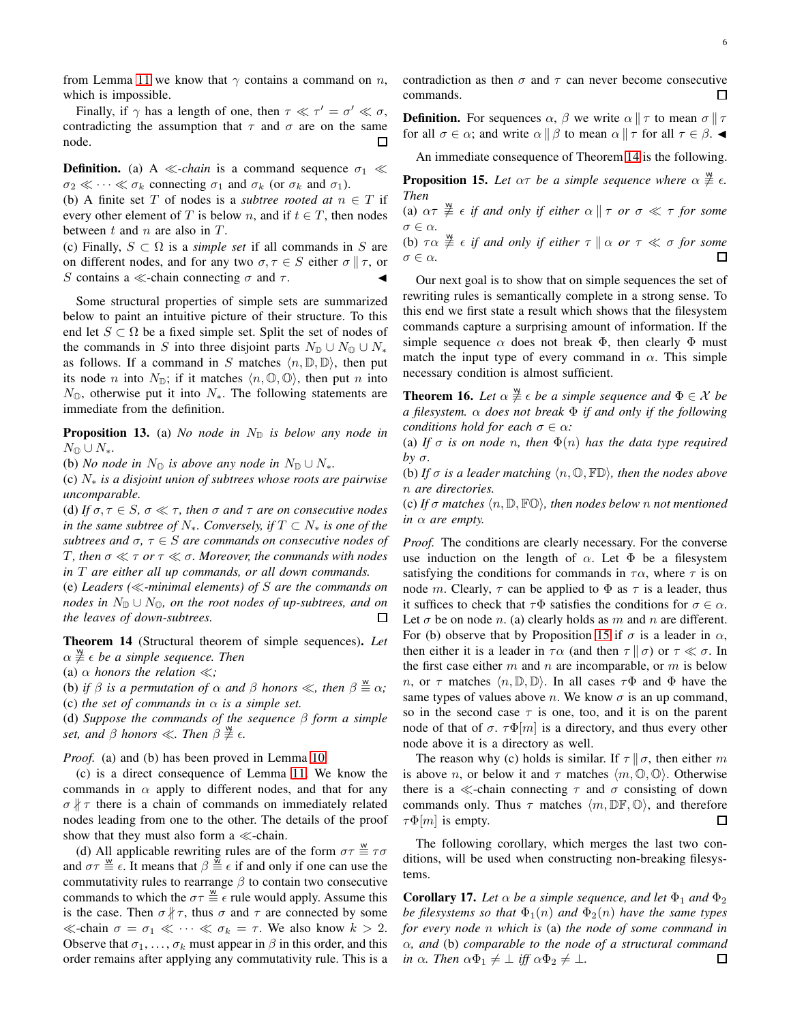from Lemma [11](#page-4-2) we know that  $\gamma$  contains a command on n, which is impossible.

Finally, if  $\gamma$  has a length of one, then  $\tau \ll \tau' = \sigma' \ll \sigma$ , contradicting the assumption that  $\tau$  and  $\sigma$  are on the same node.

**Definition.** (a) A ≪-*chain* is a command sequence  $\sigma_1$  ≪  $\sigma_2 \ll \cdots \ll \sigma_k$  connecting  $\sigma_1$  and  $\sigma_k$  (or  $\sigma_k$  and  $\sigma_1$ ).

(b) A finite set T of nodes is a *subtree rooted at*  $n \in T$  if every other element of T is below n, and if  $t \in T$ , then nodes between  $t$  and  $n$  are also in  $T$ .

(c) Finally,  $S \subset \Omega$  is a *simple set* if all commands in S are on different nodes, and for any two  $\sigma, \tau \in S$  either  $\sigma \parallel \tau$ , or S contains a ≪-chain connecting  $\sigma$  and  $\tau$ .

Some structural properties of simple sets are summarized below to paint an intuitive picture of their structure. To this end let  $S \subset \Omega$  be a fixed simple set. Split the set of nodes of the commands in S into three disjoint parts  $N_{\mathbb{D}} \cup N_{\mathbb{Q}} \cup N_*$ as follows. If a command in S matches  $\langle n, \mathbb{D}, \mathbb{D} \rangle$ , then put its node *n* into  $N_{\mathbb{D}}$ ; if it matches  $\langle n, \mathbb{O}, \mathbb{O} \rangle$ , then put *n* into  $N_{\mathbb{Q}}$ , otherwise put it into  $N_{*}$ . The following statements are immediate from the definition.

**Proposition 13.** (a) *No node in*  $N_{\mathbb{D}}$  *is below any node in*  $N_{\mathbb{O}} \cup N_*$ .

(b) *No node in*  $N_{\mathbb{O}}$  *is above any node in*  $N_{\mathbb{D}} \cup N_*$ *.* 

(c) N<sup>∗</sup> *is a disjoint union of subtrees whose roots are pairwise uncomparable.*

(d) *If*  $\sigma, \tau \in S$ ,  $\sigma \ll \tau$ , then  $\sigma$  *and*  $\tau$  *are on consecutive nodes in the same subtree of*  $N_*$ *. Conversely, if*  $T \subset N_*$  *is one of the subtrees and*  $\sigma$ ,  $\tau \in S$  *are commands on consecutive nodes of* T *, then* σ ≪ τ *or* τ ≪ σ*. Moreover, the commands with nodes in* T *are either all up commands, or all down commands.*

(e) *Leaders (*≪*-minimal elements) of* S *are the commands on nodes in*  $N_{\mathbb{D}} \cup N_{\mathbb{O}}$ *, on the root nodes of up-subtrees, and on the leaves of down-subtrees.* □

<span id="page-5-0"></span>Theorem 14 (Structural theorem of simple sequences). *Let*  $\alpha \overset{\mathsf{w}}{\neq} \epsilon$  be a simple sequence. Then

(a)  $\alpha$  *honors the relation*  $\ll$ ;

(b) *if*  $\beta$  *is a permutation of*  $\alpha$  *and*  $\beta$  *honors*  $\ll$ *, then*  $\beta \stackrel{w}{=} \alpha$ *;* (c) *the set of commands in*  $\alpha$  *is a simple set.* 

(d) *Suppose the commands of the sequence* β *form a simple set, and*  $\beta$  *honors*  $\ll$ *. Then*  $\beta \neq \epsilon$ *.* 

*Proof.* (a) and (b) has been proved in Lemma [10.](#page-4-3)

(c) is a direct consequence of Lemma [11.](#page-4-2) We know the commands in  $\alpha$  apply to different nodes, and that for any  $\sigma \nparallel \tau$  there is a chain of commands on immediately related nodes leading from one to the other. The details of the proof show that they must also form a ≪-chain.

(d) All applicable rewriting rules are of the form  $\sigma \tau \stackrel{w}{=} \tau \sigma$ and  $\sigma \tau \stackrel{\text{w}}{\equiv} \epsilon$ . It means that  $\beta \stackrel{\text{w}}{\equiv} \epsilon$  if and only if one can use the commutativity rules to rearrange  $\beta$  to contain two consecutive commands to which the  $\sigma \tau \stackrel{w}{=} \epsilon$  rule would apply. Assume this is the case. Then  $\sigma \nparallel \tau$ , thus  $\sigma$  and  $\tau$  are connected by some  $\ll$ -chain  $\sigma = \sigma_1 \ll \cdots \ll \sigma_k = \tau$ . We also know  $k > 2$ . Observe that  $\sigma_1, \ldots, \sigma_k$  must appear in  $\beta$  in this order, and this order remains after applying any commutativity rule. This is a contradiction as then  $\sigma$  and  $\tau$  can never become consecutive commands. П

**Definition.** For sequences  $\alpha$ ,  $\beta$  we write  $\alpha \parallel \tau$  to mean  $\sigma \parallel \tau$ for all  $\sigma \in \alpha$ ; and write  $\alpha \parallel \beta$  to mean  $\alpha \parallel \tau$  for all  $\tau \in \beta$ .

An immediate consequence of Theorem [14](#page-5-0) is the following.

<span id="page-5-1"></span>**Proposition 15.** Let  $\alpha\tau$  be a simple sequence where  $\alpha \not\equiv \epsilon$ . *Then*

(a)  $\alpha \tau \stackrel{\text{w}}{\neq} \epsilon$  *if and only if either*  $\alpha \parallel \tau$  *or*  $\sigma \ll \tau$  *for some*  $\sigma \in \alpha$ .

(b)  $\tau \alpha \overset{\omega}{\neq} \epsilon$  *if and only if either*  $\tau \parallel \alpha$  *or*  $\tau \ll \sigma$  *for some*  $\Box$  $\sigma \in \alpha$ .

Our next goal is to show that on simple sequences the set of rewriting rules is semantically complete in a strong sense. To this end we first state a result which shows that the filesystem commands capture a surprising amount of information. If the simple sequence  $\alpha$  does not break  $\Phi$ , then clearly  $\Phi$  must match the input type of every command in  $\alpha$ . This simple necessary condition is almost sufficient.

<span id="page-5-2"></span>**Theorem 16.** Let  $\alpha \neq e$  be a simple sequence and  $\Phi \in \mathcal{X}$  be *a filesystem.* α *does not break* Φ *if and only if the following conditions hold for each*  $\sigma \in \alpha$ *:* 

(a) If  $\sigma$  *is on node n, then*  $\Phi(n)$  *has the data type required by* σ*.*

(b) If  $\sigma$  *is a leader matching*  $\langle n, \mathbb{O}, \mathbb{FD} \rangle$ *, then the nodes above* n *are directories.*

(c) If  $\sigma$  matches  $\langle n, \mathbb{D}, \mathbb{FO} \rangle$ , then nodes below n not mentioned *in* α *are empty.*

*Proof.* The conditions are clearly necessary. For the converse use induction on the length of  $\alpha$ . Let  $\Phi$  be a filesystem satisfying the conditions for commands in  $\tau \alpha$ , where  $\tau$  is on node m. Clearly,  $\tau$  can be applied to  $\Phi$  as  $\tau$  is a leader, thus it suffices to check that  $\tau\Phi$  satisfies the conditions for  $\sigma \in \alpha$ . Let  $\sigma$  be on node n. (a) clearly holds as m and n are different. For (b) observe that by Proposition [15](#page-5-1) if  $\sigma$  is a leader in  $\alpha$ , then either it is a leader in  $\tau \alpha$  (and then  $\tau \parallel \sigma$ ) or  $\tau \ll \sigma$ . In the first case either  $m$  and  $n$  are incomparable, or  $m$  is below *n*, or  $\tau$  matches  $\langle n, \mathbb{D}, \mathbb{D} \rangle$ . In all cases  $\tau \Phi$  and  $\Phi$  have the same types of values above *n*. We know  $\sigma$  is an up command, so in the second case  $\tau$  is one, too, and it is on the parent node of that of  $\sigma$ .  $\tau \Phi[m]$  is a directory, and thus every other node above it is a directory as well.

The reason why (c) holds is similar. If  $\tau \parallel \sigma$ , then either m is above *n*, or below it and  $\tau$  matches  $\langle m, \mathbb{O}, \mathbb{O} \rangle$ . Otherwise there is a  $\ll$ -chain connecting  $\tau$  and  $\sigma$  consisting of down commands only. Thus  $\tau$  matches  $\langle m, \mathbb{DF}, \mathbb{O} \rangle$ , and therefore  $\tau \Phi[m]$  is empty.  $\Box$ 

The following corollary, which merges the last two conditions, will be used when constructing non-breaking filesystems.

<span id="page-5-3"></span>**Corollary 17.** Let  $\alpha$  be a simple sequence, and let  $\Phi_1$  and  $\Phi_2$ *be filesystems so that*  $\Phi_1(n)$  *and*  $\Phi_2(n)$  *have the same types for every node* n *which is* (a) *the node of some command in* α*, and* (b) *comparable to the node of a structural command in*  $\alpha$ *. Then*  $\alpha \Phi_1 \neq \bot$  *iff*  $\alpha \Phi_2 \neq \bot$ *.*  $\Box$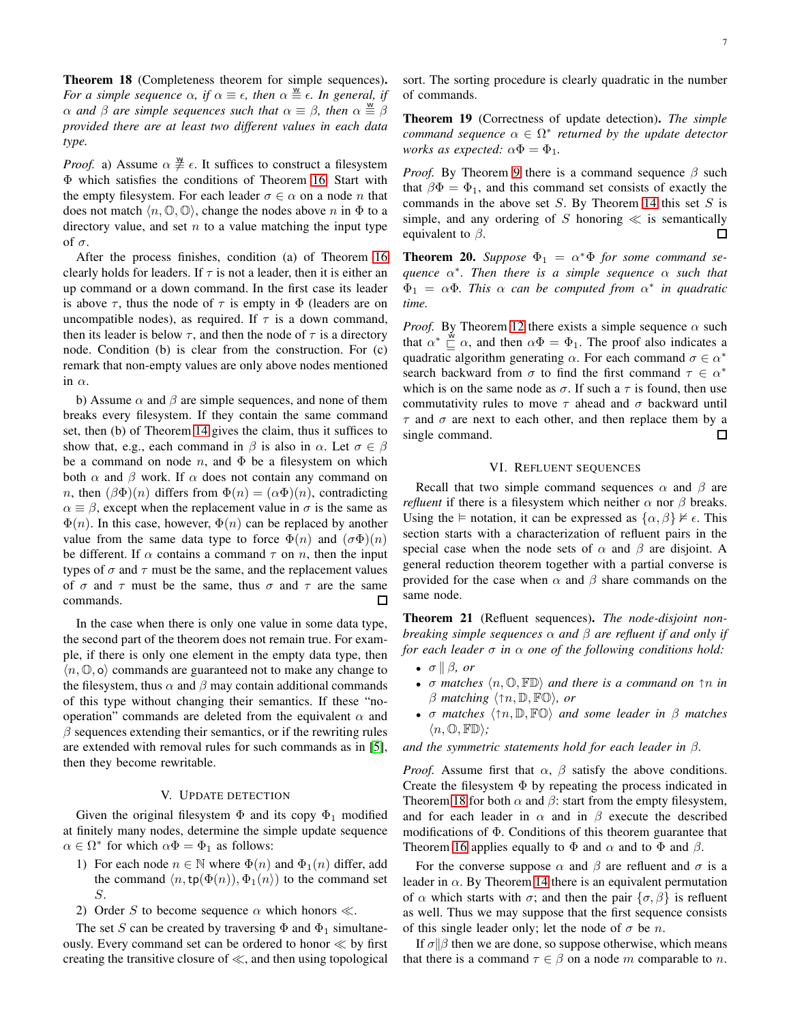<span id="page-6-4"></span>Theorem 18 (Completeness theorem for simple sequences). *For a simple sequence*  $\alpha$ , if  $\alpha \equiv \epsilon$ , then  $\alpha \equiv \epsilon$ . In general, if  $\alpha$  and  $\beta$  are simple sequences such that  $\alpha \equiv \beta$ , then  $\alpha \stackrel{\text{w}}{\equiv} \beta$ *provided there are at least two different values in each data type.*

*Proof.* a) Assume  $\alpha \neq \epsilon$ . It suffices to construct a filesystem Φ which satisfies the conditions of Theorem [16.](#page-5-2) Start with the empty filesystem. For each leader  $\sigma \in \alpha$  on a node *n* that does not match  $\langle n, \mathbb{O}, \mathbb{O} \rangle$ , change the nodes above n in  $\Phi$  to a directory value, and set  $n$  to a value matching the input type of σ.

After the process finishes, condition (a) of Theorem [16](#page-5-2) clearly holds for leaders. If  $\tau$  is not a leader, then it is either an up command or a down command. In the first case its leader is above  $\tau$ , thus the node of  $\tau$  is empty in  $\Phi$  (leaders are on uncompatible nodes), as required. If  $\tau$  is a down command, then its leader is below  $\tau$ , and then the node of  $\tau$  is a directory node. Condition (b) is clear from the construction. For (c) remark that non-empty values are only above nodes mentioned in  $\alpha$ .

b) Assume  $\alpha$  and  $\beta$  are simple sequences, and none of them breaks every filesystem. If they contain the same command set, then (b) of Theorem [14](#page-5-0) gives the claim, thus it suffices to show that, e.g., each command in  $\beta$  is also in  $\alpha$ . Let  $\sigma \in \beta$ be a command on node  $n$ , and  $\Phi$  be a filesystem on which both  $\alpha$  and  $\beta$  work. If  $\alpha$  does not contain any command on *n*, then  $(\beta \Phi)(n)$  differs from  $\Phi(n) = (\alpha \Phi)(n)$ , contradicting  $\alpha \equiv \beta$ , except when the replacement value in  $\sigma$  is the same as  $\Phi(n)$ . In this case, however,  $\Phi(n)$  can be replaced by another value from the same data type to force  $\Phi(n)$  and  $(\sigma \Phi)(n)$ be different. If  $\alpha$  contains a command  $\tau$  on n, then the input types of  $\sigma$  and  $\tau$  must be the same, and the replacement values of  $\sigma$  and  $\tau$  must be the same, thus  $\sigma$  and  $\tau$  are the same П commands.

In the case when there is only one value in some data type, the second part of the theorem does not remain true. For example, if there is only one element in the empty data type, then  $\langle n, \mathbb{O}, \mathsf{o} \rangle$  commands are guaranteed not to make any change to the filesystem, thus  $\alpha$  and  $\beta$  may contain additional commands of this type without changing their semantics. If these "nooperation" commands are deleted from the equivalent  $\alpha$  and  $\beta$  sequences extending their semantics, or if the rewriting rules are extended with removal rules for such commands as in [\[5\]](#page-9-5), then they become rewritable.

# V. UPDATE DETECTION

<span id="page-6-0"></span>Given the original filesystem  $\Phi$  and its copy  $\Phi_1$  modified at finitely many nodes, determine the simple update sequence  $\alpha \in \Omega^*$  for which  $\alpha \Phi = \Phi_1$  as follows:

- 1) For each node  $n \in \mathbb{N}$  where  $\Phi(n)$  and  $\Phi_1(n)$  differ, add the command  $\langle n, \text{tp}(\Phi(n)), \Phi_1(n) \rangle$  to the command set S.
- 2) Order S to become sequence  $\alpha$  which honors  $\ll$ .

The set S can be created by traversing  $\Phi$  and  $\Phi_1$  simultaneously. Every command set can be ordered to honor ≪ by first creating the transitive closure of ≪, and then using topological sort. The sorting procedure is clearly quadratic in the number of commands.

<span id="page-6-2"></span>Theorem 19 (Correctness of update detection). *The simple command sequence* α ∈ Ω ∗ *returned by the update detector works as expected:*  $\alpha \Phi = \Phi_1$ .

*Proof.* By Theorem [9](#page-3-7) there is a command sequence  $\beta$  such that  $\beta \Phi = \Phi_1$ , and this command set consists of exactly the commands in the above set  $S$ . By Theorem [14](#page-5-0) this set  $S$  is simple, and any ordering of S honoring  $\ll$  is semantically equivalent to  $\beta$ .  $\Box$ 

<span id="page-6-3"></span>**Theorem 20.** *Suppose*  $\Phi_1 = \alpha^* \Phi$  *for some command sequence* α ∗ *. Then there is a simple sequence* α *such that*  $\Phi_1 = \alpha \Phi$ . This  $\alpha$  can be computed from  $\alpha^*$  in quadratic *time.*

*Proof.* By Theorem [12](#page-4-1) there exists a simple sequence  $\alpha$  such that  $\alpha^* \stackrel{\text{w}}{\sqsubseteq} \alpha$ , and then  $\alpha \Phi = \Phi_1$ . The proof also indicates a quadratic algorithm generating  $\alpha$ . For each command  $\sigma \in \alpha^*$ search backward from  $\sigma$  to find the first command  $\tau \in \alpha^*$ which is on the same node as  $\sigma$ . If such a  $\tau$  is found, then use commutativity rules to move  $\tau$  ahead and  $\sigma$  backward until  $\tau$  and  $\sigma$  are next to each other, and then replace them by a  $\Box$ single command.

# VI. REFLUENT SEQUENCES

<span id="page-6-1"></span>Recall that two simple command sequences  $\alpha$  and  $\beta$  are *refluent* if there is a filesystem which neither  $\alpha$  nor  $\beta$  breaks. Using the  $\models$  notation, it can be expressed as  $\{\alpha, \beta\} \not\models \epsilon$ . This section starts with a characterization of refluent pairs in the special case when the node sets of  $\alpha$  and  $\beta$  are disjoint. A general reduction theorem together with a partial converse is provided for the case when  $\alpha$  and  $\beta$  share commands on the same node.

<span id="page-6-5"></span>Theorem 21 (Refluent sequences). *The node-disjoint nonbreaking simple sequences* α *and* β *are refluent if and only if for each leader* σ *in* α *one of the following conditions hold:*

- $\sigma \parallel \beta$ *, or*
- $\sigma$  matches  $\langle n, \mathbb{O}, \mathbb{FD} \rangle$  and there is a command on  $\uparrow n$  in  $\beta$  matching  $\langle \uparrow n, \mathbb{D}, \mathbb{F}\mathbb{O} \rangle$ , or
- σ *matches*  $\langle \uparrow n, \mathbb{D}, \mathbb{FO} \rangle$  *and some leader in* β *matches*  $\langle n, \mathbb{O}, \mathbb{F} \mathbb{D} \rangle$ ;

*and the symmetric statements hold for each leader in* β*.*

*Proof.* Assume first that  $\alpha$ ,  $\beta$  satisfy the above conditions. Create the filesystem Φ by repeating the process indicated in Theorem [18](#page-6-4) for both  $\alpha$  and  $\beta$ : start from the empty filesystem, and for each leader in  $\alpha$  and in  $\beta$  execute the described modifications of Φ. Conditions of this theorem guarantee that Theorem [16](#page-5-2) applies equally to  $\Phi$  and  $\alpha$  and to  $\Phi$  and  $\beta$ .

For the converse suppose  $\alpha$  and  $\beta$  are refluent and  $\sigma$  is a leader in  $\alpha$ . By Theorem [14](#page-5-0) there is an equivalent permutation of  $\alpha$  which starts with  $\sigma$ ; and then the pair  $\{\sigma, \beta\}$  is refluent as well. Thus we may suppose that the first sequence consists of this single leader only; let the node of  $\sigma$  be n.

If  $\sigma$   $\beta$  then we are done, so suppose otherwise, which means that there is a command  $\tau \in \beta$  on a node m comparable to n.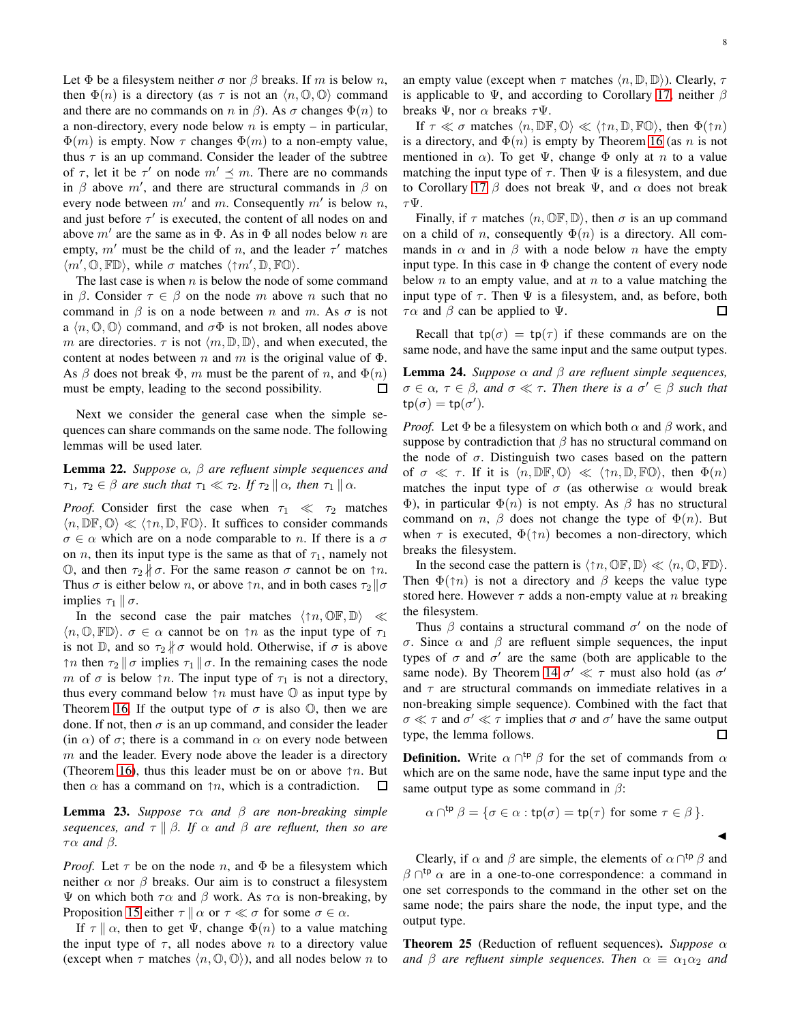Let  $\Phi$  be a filesystem neither  $\sigma$  nor  $\beta$  breaks. If m is below n, then  $\Phi(n)$  is a directory (as  $\tau$  is not an  $\langle n, \mathbb{O}, \mathbb{O} \rangle$  command and there are no commands on n in  $\beta$ ). As  $\sigma$  changes  $\Phi(n)$  to a non-directory, every node below  $n$  is empty – in particular,  $\Phi(m)$  is empty. Now  $\tau$  changes  $\Phi(m)$  to a non-empty value, thus  $\tau$  is an up command. Consider the leader of the subtree of  $\tau$ , let it be  $\tau'$  on node  $m' \preceq m$ . There are no commands in  $\beta$  above  $m'$ , and there are structural commands in  $\beta$  on every node between  $m'$  and  $m$ . Consequently  $m'$  is below  $n$ , and just before  $\tau'$  is executed, the content of all nodes on and above  $m'$  are the same as in  $\Phi$ . As in  $\Phi$  all nodes below n are empty,  $m'$  must be the child of n, and the leader  $\tau'$  matches  $\langle m', \mathbb{O}, \mathbb{F} \mathbb{D} \rangle$ , while  $\sigma$  matches  $\langle \uparrow m', \mathbb{D}, \mathbb{F} \mathbb{O} \rangle$ .

The last case is when  $n$  is below the node of some command in β. Consider  $\tau \in \beta$  on the node m above n such that no command in  $\beta$  is on a node between n and m. As  $\sigma$  is not a  $\langle n, \mathbb{O}, \mathbb{O} \rangle$  command, and  $\sigma \Phi$  is not broken, all nodes above m are directories.  $\tau$  is not  $\langle m, \mathbb{D}, \mathbb{D} \rangle$ , and when executed, the content at nodes between n and m is the original value of  $\Phi$ . As  $\beta$  does not break  $\Phi$ , m must be the parent of n, and  $\Phi(n)$ must be empty, leading to the second possibility.  $\Box$ 

Next we consider the general case when the simple sequences can share commands on the same node. The following lemmas will be used later.

<span id="page-7-3"></span>Lemma 22. *Suppose* α*,* β *are refluent simple sequences and*  $\tau_1, \tau_2 \in \beta$  are such that  $\tau_1 \ll \tau_2$ . If  $\tau_2 \parallel \alpha$ , then  $\tau_1 \parallel \alpha$ .

*Proof.* Consider first the case when  $\tau_1 \ll \tau_2$  matches  $\langle n, \mathbb{DF}, \mathbb{O} \rangle \ll \langle \uparrow n, \mathbb{D}, \mathbb{FO} \rangle$ . It suffices to consider commands  $\sigma \in \alpha$  which are on a node comparable to *n*. If there is a  $\sigma$ on *n*, then its input type is the same as that of  $\tau_1$ , namely not  $\mathbb{O}$ , and then  $τ_2$   $\nparallel$  σ. For the same reason σ cannot be on  $τn$ . Thus  $\sigma$  is either below *n*, or above  $\uparrow n$ , and in both cases  $\tau_2 || \sigma$ implies  $\tau_1 \parallel \sigma$ .

In the second case the pair matches  $\langle \uparrow n, \mathbb{OR}, \mathbb{D} \rangle \ll$  $\langle n, \mathbb{O}, \mathbb{F} \mathbb{D} \rangle$ .  $\sigma \in \alpha$  cannot be on  $\uparrow n$  as the input type of  $\tau_1$ is not  $\mathbb{D}$ , and so  $\tau_2 \nparallel \sigma$  would hold. Otherwise, if  $\sigma$  is above  $\lceil n \rceil$  then  $\tau_2 \rceil \sigma$  implies  $\tau_1 \rceil \sigma$ . In the remaining cases the node m of  $\sigma$  is below  $\uparrow n$ . The input type of  $\tau_1$  is not a directory, thus every command below  $\uparrow n$  must have  $\mathbb O$  as input type by Theorem [16.](#page-5-2) If the output type of  $\sigma$  is also  $\mathbb{O}$ , then we are done. If not, then  $\sigma$  is an up command, and consider the leader (in  $\alpha$ ) of  $\sigma$ ; there is a command in  $\alpha$  on every node between  $m$  and the leader. Every node above the leader is a directory (Theorem [16\)](#page-5-2), thus this leader must be on or above  $\uparrow n$ . But then  $\alpha$  has a command on  $\uparrow n$ , which is a contradiction.  $\Box$ 

<span id="page-7-2"></span>Lemma 23. *Suppose* τα *and* β *are non-breaking simple sequences, and*  $\tau \parallel \beta$ *. If*  $\alpha$  *and*  $\beta$  *are refluent, then so are* τα *and* β*.*

*Proof.* Let  $\tau$  be on the node n, and  $\Phi$  be a filesystem which neither  $\alpha$  nor  $\beta$  breaks. Our aim is to construct a filesystem Ψ on which both  $τα$  and  $β$  work. As  $τα$  is non-breaking, by Proposition [15](#page-5-1) either  $\tau \parallel \alpha$  or  $\tau \ll \sigma$  for some  $\sigma \in \alpha$ .

If  $\tau \parallel \alpha$ , then to get  $\Psi$ , change  $\Phi(n)$  to a value matching the input type of  $\tau$ , all nodes above n to a directory value (except when  $\tau$  matches  $\langle n, \mathbb{O}, \mathbb{O} \rangle$ ), and all nodes below n to

an empty value (except when  $\tau$  matches  $\langle n, \mathbb{D}, \mathbb{D} \rangle$ ). Clearly,  $\tau$ is applicable to  $\Psi$ , and according to Corollary [17,](#page-5-3) neither  $\beta$ breaks  $\Psi$ , nor  $\alpha$  breaks  $\tau\Psi$ .

If  $\tau \ll \sigma$  matches  $\langle n, \mathbb{DF}, \mathbb{O} \rangle \ll \langle \uparrow n, \mathbb{D}, \mathbb{FO} \rangle$ , then  $\Phi(\uparrow n)$ is a directory, and  $\Phi(n)$  is empty by Theorem [16](#page-5-2) (as n is not mentioned in  $\alpha$ ). To get  $\Psi$ , change  $\Phi$  only at n to a value matching the input type of  $\tau$ . Then  $\Psi$  is a filesystem, and due to Corollary [17](#page-5-3)  $\beta$  does not break Ψ, and  $\alpha$  does not break  $\tau\Psi.$ 

Finally, if  $\tau$  matches  $\langle n, \mathbb{O}F, \mathbb{D} \rangle$ , then  $\sigma$  is an up command on a child of *n*, consequently  $\Phi(n)$  is a directory. All commands in  $\alpha$  and in  $\beta$  with a node below n have the empty input type. In this case in  $\Phi$  change the content of every node below  $n$  to an empty value, and at  $n$  to a value matching the input type of  $\tau$ . Then  $\Psi$  is a filesystem, and, as before, both  $\tau \alpha$  and  $\beta$  can be applied to  $\Psi$ .  $\Box$ 

Recall that  $tp(\sigma) = tp(\tau)$  if these commands are on the same node, and have the same input and the same output types.

<span id="page-7-0"></span>**Lemma 24.** *Suppose*  $\alpha$  *and*  $\beta$  *are refluent simple sequences,*  $\sigma \in \alpha$ ,  $\tau \in \beta$ , and  $\sigma \ll \tau$ . Then there is a  $\sigma' \in \beta$  such that  $\text{tp}(\sigma) = \text{tp}(\sigma').$ 

*Proof.* Let  $\Phi$  be a filesystem on which both  $\alpha$  and  $\beta$  work, and suppose by contradiction that  $\beta$  has no structural command on the node of  $\sigma$ . Distinguish two cases based on the pattern of  $\sigma \ll \tau$ . If it is  $\langle n, \mathbb{DF}, \mathbb{O} \rangle \ll \langle \uparrow n, \mathbb{D}, \mathbb{FO} \rangle$ , then  $\Phi(n)$ matches the input type of  $\sigma$  (as otherwise  $\alpha$  would break Φ), in particular  $Φ(n)$  is not empty. As  $β$  has no structural command on n,  $\beta$  does not change the type of  $\Phi(n)$ . But when  $\tau$  is executed,  $\Phi(\uparrow n)$  becomes a non-directory, which breaks the filesystem.

In the second case the pattern is  $\langle \uparrow n, \mathbb{O} \mathbb{F}, \mathbb{D} \rangle \ll \langle n, \mathbb{O}, \mathbb{F} \mathbb{D} \rangle$ . Then  $\Phi(\uparrow n)$  is not a directory and  $\beta$  keeps the value type stored here. However  $\tau$  adds a non-empty value at n breaking the filesystem.

Thus  $\beta$  contains a structural command  $\sigma'$  on the node of σ. Since α and β are refluent simple sequences, the input types of  $\sigma$  and  $\sigma'$  are the same (both are applicable to the same node). By Theorem [14](#page-5-0)  $\sigma' \ll \tau$  must also hold (as  $\sigma'$ ) and  $\tau$  are structural commands on immediate relatives in a non-breaking simple sequence). Combined with the fact that  $\sigma \ll \tau$  and  $\sigma' \ll \tau$  implies that  $\sigma$  and  $\sigma'$  have the same output type, the lemma follows. □

**Definition.** Write  $\alpha \cap^{tp} \beta$  for the set of commands from  $\alpha$ which are on the same node, have the same input type and the same output type as some command in  $\beta$ :

$$
\alpha \cap^{\text{tp}} \beta = \{ \sigma \in \alpha : \text{tp}(\sigma) = \text{tp}(\tau) \text{ for some } \tau \in \beta \}.
$$

Clearly, if  $\alpha$  and  $\beta$  are simple, the elements of  $\alpha \cap^{tp} \beta$  and  $\beta \cap^{tp} \alpha$  are in a one-to-one correspondence: a command in one set corresponds to the command in the other set on the same node; the pairs share the node, the input type, and the output type.

<span id="page-7-1"></span>Theorem 25 (Reduction of refluent sequences). *Suppose* α *and*  $\beta$  *are refluent simple sequences. Then*  $\alpha \equiv \alpha_1 \alpha_2$  *and*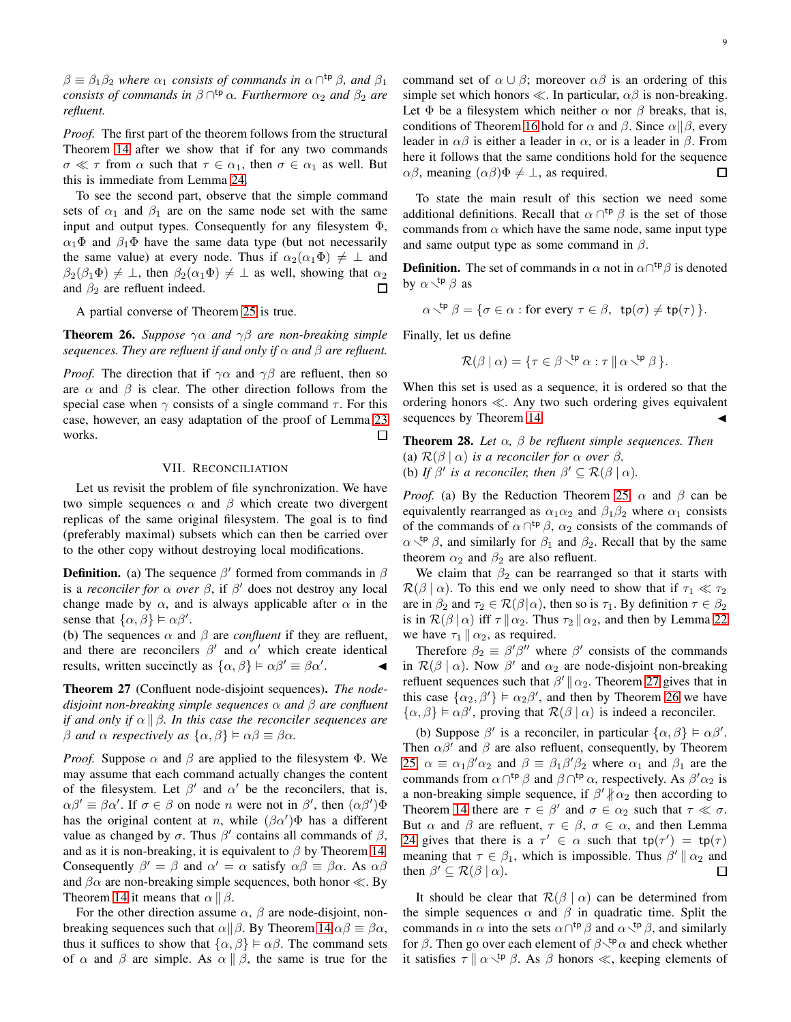$\beta \equiv \beta_1 \beta_2$  *where*  $\alpha_1$  *consists of commands in*  $\alpha \cap^{tp} \beta$ *, and*  $\beta_1$ *consists of commands in*  $\beta \cap^{tp} \alpha$ *. Furthermore*  $\alpha_2$  *and*  $\beta_2$  *are refluent.*

*Proof.* The first part of the theorem follows from the structural Theorem [14](#page-5-0) after we show that if for any two commands  $\sigma \ll \tau$  from  $\alpha$  such that  $\tau \in \alpha_1$ , then  $\sigma \in \alpha_1$  as well. But this is immediate from Lemma [24.](#page-7-0)

To see the second part, observe that the simple command sets of  $\alpha_1$  and  $\beta_1$  are on the same node set with the same input and output types. Consequently for any filesystem Φ,  $\alpha_1 \Phi$  and  $\beta_1 \Phi$  have the same data type (but not necessarily the same value) at every node. Thus if  $\alpha_2(\alpha_1\Phi) \neq \perp$  and  $\beta_2(\beta_1\Phi) \neq \bot$ , then  $\beta_2(\alpha_1\Phi) \neq \bot$  as well, showing that  $\alpha_2$ and  $\beta_2$  are refluent indeed. П

A partial converse of Theorem [25](#page-7-1) is true.

<span id="page-8-3"></span>**Theorem 26.** *Suppose*  $\gamma \alpha$  *and*  $\gamma \beta$  *are non-breaking simple sequences. They are refluent if and only if*  $\alpha$  *and*  $\beta$  *are refluent.* 

*Proof.* The direction that if  $\gamma \alpha$  and  $\gamma \beta$  are refluent, then so are  $\alpha$  and  $\beta$  is clear. The other direction follows from the special case when  $\gamma$  consists of a single command  $\tau$ . For this case, however, an easy adaptation of the proof of Lemma [23](#page-7-2) works. 口

# VII. RECONCILIATION

<span id="page-8-0"></span>Let us revisit the problem of file synchronization. We have two simple sequences  $\alpha$  and  $\beta$  which create two divergent replicas of the same original filesystem. The goal is to find (preferably maximal) subsets which can then be carried over to the other copy without destroying local modifications.

**Definition.** (a) The sequence  $\beta'$  formed from commands in  $\beta$ is a *reconciler for*  $\alpha$  *over*  $\beta$ , if  $\beta'$  does not destroy any local change made by  $\alpha$ , and is always applicable after  $\alpha$  in the sense that  $\{\alpha, \beta\} \models \alpha \beta'$ .

(b) The sequences  $\alpha$  and  $\beta$  are *confluent* if they are refluent, and there are reconcilers  $\beta'$  and  $\alpha'$  which create identical results, written succinctly as  $\{\alpha, \beta\} \models \alpha \beta' \equiv \beta \alpha'$ .  $\cdot$   $\cdot$   $\cdot$ 

<span id="page-8-2"></span>Theorem 27 (Confluent node-disjoint sequences). *The nodedisjoint non-breaking simple sequences* α *and* β *are confluent if and only if*  $\alpha \parallel \beta$ *. In this case the reconciler sequences are* β *and*  $\alpha$  *respectively as*  $\{\alpha, \beta\} \models \alpha\beta \equiv \beta\alpha$ *.* 

*Proof.* Suppose  $\alpha$  and  $\beta$  are applied to the filesystem  $\Phi$ . We may assume that each command actually changes the content of the filesystem. Let  $\beta'$  and  $\alpha'$  be the reconcilers, that is,  $\alpha\beta' \equiv \beta\alpha'$ . If  $\sigma \in \beta$  on node *n* were not in  $\beta'$ , then  $(\alpha\beta')\Phi$ has the original content at n, while  $(\beta \alpha')\Phi$  has a different value as changed by  $\sigma$ . Thus  $\beta'$  contains all commands of  $\beta$ , and as it is non-breaking, it is equivalent to  $\beta$  by Theorem [14.](#page-5-0) Consequently  $\beta' = \beta$  and  $\alpha' = \alpha$  satisfy  $\alpha\beta \equiv \beta\alpha$ . As  $\alpha\beta$ and  $\beta \alpha$  are non-breaking simple sequences, both honor  $\ll$ . By Theorem [14](#page-5-0) it means that  $\alpha \parallel \beta$ .

For the other direction assume  $\alpha$ ,  $\beta$  are node-disjoint, nonbreaking sequences such that  $\alpha||\beta$ . By Theorem [14](#page-5-0)  $\alpha\beta \equiv \beta\alpha$ , thus it suffices to show that  $\{\alpha, \beta\} \models \alpha\beta$ . The command sets of  $\alpha$  and  $\beta$  are simple. As  $\alpha \parallel \beta$ , the same is true for the command set of  $\alpha \cup \beta$ ; moreover  $\alpha \beta$  is an ordering of this simple set which honors  $\ll$ . In particular,  $\alpha\beta$  is non-breaking. Let  $\Phi$  be a filesystem which neither  $\alpha$  nor  $\beta$  breaks, that is, conditions of Theorem [16](#page-5-2) hold for  $\alpha$  and  $\beta$ . Since  $\alpha||\beta$ , every leader in  $\alpha\beta$  is either a leader in  $\alpha$ , or is a leader in  $\beta$ . From here it follows that the same conditions hold for the sequence  $\alpha\beta$ , meaning  $(\alpha\beta)\Phi \neq \bot$ , as required.  $\Box$ 

To state the main result of this section we need some additional definitions. Recall that  $\alpha \cap^{tp} \beta$  is the set of those commands from  $\alpha$  which have the same node, same input type and same output type as some command in  $\beta$ .

**Definition.** The set of commands in  $\alpha$  not in  $\alpha \cap^{tp} \beta$  is denoted by  $\alpha \searrow^{tp} \beta$  as

$$
\alpha \searrow^{\text{tp}} \beta = \{ \sigma \in \alpha : \text{for every } \tau \in \beta, \text{ tp}(\sigma) \neq \text{tp}(\tau) \}.
$$

Finally, let us define

$$
\mathcal{R}(\beta \mid \alpha) = \{ \tau \in \beta^{\text{tp}} \alpha : \tau \mid \alpha^{\text{tp}} \beta \}.
$$

When this set is used as a sequence, it is ordered so that the ordering honors ≪. Any two such ordering gives equivalent sequences by Theorem [14.](#page-5-0)

<span id="page-8-1"></span>Theorem 28. *Let* α*,* β *be refluent simple sequences. Then* (a)  $\mathcal{R}(\beta | \alpha)$  *is a reconciler for*  $\alpha$  *over*  $\beta$ *.* (b) If  $\beta'$  is a reconciler, then  $\beta' \subseteq \mathcal{R}(\beta \mid \alpha)$ .

*Proof.* (a) By the Reduction Theorem [25,](#page-7-1)  $\alpha$  and  $\beta$  can be equivalently rearranged as  $\alpha_1 \alpha_2$  and  $\beta_1 \beta_2$  where  $\alpha_1$  consists of the commands of  $\alpha \cap^{tp} \beta$ ,  $\alpha_2$  consists of the commands of  $\alpha \xi^{\mathsf{tp}}$  β, and similarly for  $\beta_1$  and  $\beta_2$ . Recall that by the same theorem  $\alpha_2$  and  $\beta_2$  are also refluent.

We claim that  $\beta_2$  can be rearranged so that it starts with  $\mathcal{R}(\beta \mid \alpha)$ . To this end we only need to show that if  $\tau_1 \ll \tau_2$ are in  $\beta_2$  and  $\tau_2 \in \mathcal{R}(\beta|\alpha)$ , then so is  $\tau_1$ . By definition  $\tau \in \beta_2$ is in  $\mathcal{R}(\beta | \alpha)$  iff  $\tau \| \alpha_2$ . Thus  $\tau_2 \| \alpha_2$ , and then by Lemma [22](#page-7-3) we have  $\tau_1 \parallel \alpha_2$ , as required.

Therefore  $\beta_2 \equiv \beta' \beta''$  where  $\beta'$  consists of the commands in  $\mathcal{R}(\beta | \alpha)$ . Now  $\beta'$  and  $\alpha_2$  are node-disjoint non-breaking refluent sequences such that  $\beta' || \alpha_2$ . Theorem [27](#page-8-2) gives that in this case  $\{\alpha_2, \beta'\}\models \alpha_2\beta'$ , and then by Theorem [26](#page-8-3) we have  $\{\alpha, \beta\} \models \alpha\beta'$ , proving that  $\mathcal{R}(\beta \mid \alpha)$  is indeed a reconciler.

(b) Suppose  $\beta'$  is a reconciler, in particular  $\{\alpha, \beta\} \models \alpha \beta'$ . Then  $\alpha\beta'$  and  $\beta$  are also refluent, consequently, by Theorem [25,](#page-7-1)  $\alpha \equiv \alpha_1 \beta' \alpha_2$  and  $\beta \equiv \beta_1 \beta' \beta_2$  where  $\alpha_1$  and  $\beta_1$  are the commands from  $\alpha \cap^{tp} \beta$  and  $\beta \cap^{tp} \alpha$ , respectively. As  $\beta' \alpha_2$  is a non-breaking simple sequence, if  $\beta' | \alpha_2$  then according to Theorem [14](#page-5-0) there are  $\tau \in \beta'$  and  $\sigma \in \alpha_2$  such that  $\tau \ll \sigma$ . But  $\alpha$  and  $\beta$  are refluent,  $\tau \in \beta$ ,  $\sigma \in \alpha$ , and then Lemma [24](#page-7-0) gives that there is a  $\tau' \in \alpha$  such that  $tp(\tau') = tp(\tau)$ meaning that  $\tau \in \beta_1$ , which is impossible. Thus  $\beta' \parallel \alpha_2$  and then  $\beta' \subseteq \mathcal{R}(\beta | \alpha)$ .  $\Box$ 

It should be clear that  $\mathcal{R}(\beta \mid \alpha)$  can be determined from the simple sequences  $\alpha$  and  $\beta$  in quadratic time. Split the commands in  $\alpha$  into the sets  $\alpha \cap^{tp} \beta$  and  $\alpha \setminus^{tp} \beta$ , and similarly for  $\beta$ . Then go over each element of  $\beta\zeta^{tp}\alpha$  and check whether it satisfies  $\tau \parallel \alpha \searrow^{tp} \beta$ . As  $\beta$  honors  $\ll$ , keeping elements of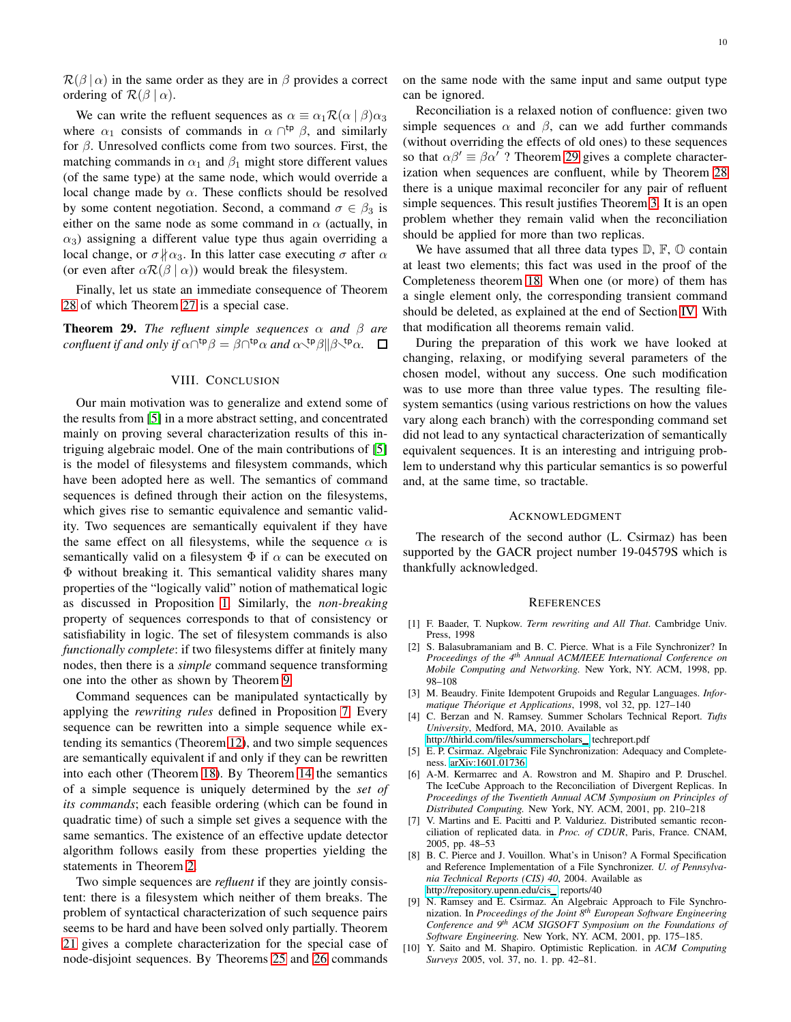$\mathcal{R}(\beta | \alpha)$  in the same order as they are in  $\beta$  provides a correct ordering of  $\mathcal{R}(\beta | \alpha)$ .

We can write the refluent sequences as  $\alpha \equiv \alpha_1 \mathcal{R}(\alpha \mid \beta) \alpha_3$ where  $\alpha_1$  consists of commands in  $\alpha \cap^{tp} \beta$ , and similarly for  $\beta$ . Unresolved conflicts come from two sources. First, the matching commands in  $\alpha_1$  and  $\beta_1$  might store different values (of the same type) at the same node, which would override a local change made by  $\alpha$ . These conflicts should be resolved by some content negotiation. Second, a command  $\sigma \in \beta_3$  is either on the same node as some command in  $\alpha$  (actually, in  $\alpha_3$ ) assigning a different value type thus again overriding a local change, or  $\sigma \nparallel \alpha_3$ . In this latter case executing  $\sigma$  after  $\alpha$ (or even after  $\alpha \mathcal{R}(\beta | \alpha)$ ) would break the filesystem.

Finally, let us state an immediate consequence of Theorem [28](#page-8-1) of which Theorem [27](#page-8-2) is a special case.

<span id="page-9-11"></span><span id="page-9-6"></span>**Theorem 29.** *The refluent simple sequences*  $\alpha$  *and*  $\beta$  *are confluent if and only if*  $\alpha \cap^{tp} \beta = \beta \cap^{tp} \alpha$  *and*  $\alpha \setminus^{tp} \beta \|\beta \setminus^{tp} \alpha$ *.* 

# VIII. CONCLUSION

Our main motivation was to generalize and extend some of the results from [\[5\]](#page-9-5) in a more abstract setting, and concentrated mainly on proving several characterization results of this intriguing algebraic model. One of the main contributions of [\[5\]](#page-9-5) is the model of filesystems and filesystem commands, which have been adopted here as well. The semantics of command sequences is defined through their action on the filesystems, which gives rise to semantic equivalence and semantic validity. Two sequences are semantically equivalent if they have the same effect on all filesystems, while the sequence  $\alpha$  is semantically valid on a filesystem  $\Phi$  if  $\alpha$  can be executed on Φ without breaking it. This semantical validity shares many properties of the "logically valid" notion of mathematical logic as discussed in Proposition [1.](#page-2-1) Similarly, the *non-breaking* property of sequences corresponds to that of consistency or satisfiability in logic. The set of filesystem commands is also *functionally complete*: if two filesystems differ at finitely many nodes, then there is a *simple* command sequence transforming one into the other as shown by Theorem [9.](#page-3-7)

Command sequences can be manipulated syntactically by applying the *rewriting rules* defined in Proposition [7.](#page-3-4) Every sequence can be rewritten into a simple sequence while extending its semantics (Theorem [12\)](#page-4-1), and two simple sequences are semantically equivalent if and only if they can be rewritten into each other (Theorem [18\)](#page-6-4). By Theorem [14](#page-5-0) the semantics of a simple sequence is uniquely determined by the *set of its commands*; each feasible ordering (which can be found in quadratic time) of such a simple set gives a sequence with the same semantics. The existence of an effective update detector algorithm follows easily from these properties yielding the statements in Theorem [2.](#page-2-0)

Two simple sequences are *refluent* if they are jointly consistent: there is a filesystem which neither of them breaks. The problem of syntactical characterization of such sequence pairs seems to be hard and have been solved only partially. Theorem [21](#page-6-5) gives a complete characterization for the special case of node-disjoint sequences. By Theorems [25](#page-7-1) and [26](#page-8-3) commands

on the same node with the same input and same output type can be ignored.

Reconciliation is a relaxed notion of confluence: given two simple sequences  $\alpha$  and  $\beta$ , can we add further commands (without overriding the effects of old ones) to these sequences so that  $\alpha\beta' \equiv \beta\alpha'$ ? Theorem [29](#page-9-11) gives a complete characterization when sequences are confluent, while by Theorem [28](#page-8-1) there is a unique maximal reconciler for any pair of refluent simple sequences. This result justifies Theorem [3.](#page-3-1) It is an open problem whether they remain valid when the reconciliation should be applied for more than two replicas.

We have assumed that all three data types  $\mathbb{D}, \mathbb{F}, \mathbb{O}$  contain at least two elements; this fact was used in the proof of the Completeness theorem [18.](#page-6-4) When one (or more) of them has a single element only, the corresponding transient command should be deleted, as explained at the end of Section [IV.](#page-4-0) With that modification all theorems remain valid.

During the preparation of this work we have looked at changing, relaxing, or modifying several parameters of the chosen model, without any success. One such modification was to use more than three value types. The resulting filesystem semantics (using various restrictions on how the values vary along each branch) with the corresponding command set did not lead to any syntactical characterization of semantically equivalent sequences. It is an interesting and intriguing problem to understand why this particular semantics is so powerful and, at the same time, so tractable.

#### ACKNOWLEDGMENT

The research of the second author (L. Csirmaz) has been supported by the GACR project number 19-04579S which is thankfully acknowledged.

#### **REFERENCES**

- <span id="page-9-9"></span>[1] F. Baader, T. Nupkow. *Term rewriting and All That*. Cambridge Univ. Press, 1998
- <span id="page-9-3"></span>[2] S. Balasubramaniam and B. C. Pierce. What is a File Synchronizer? In *Proceedings of the 4th Annual ACM/IEEE International Conference on Mobile Computing and Networking.* New York, NY. ACM, 1998, pp. 98–108
- <span id="page-9-10"></span>[3] M. Beaudry. Finite Idempotent Grupoids and Regular Languages. *Informatique Th´eorique et Applications*, 1998, vol 32, pp. 127–140
- <span id="page-9-7"></span>[4] C. Berzan and N. Ramsey. Summer Scholars Technical Report. *Tufts University*, Medford, MA, 2010. Available as [http://thirld.com/files/summerscholars](http://thirld.com/files/summerscholars_) techreport.pdf
- <span id="page-9-5"></span>[5] E. P. Csirmaz. Algebraic File Synchronization: Adequacy and Completeness. [arXiv:1601.01736](http://arxiv.org/abs/1601.01736)
- <span id="page-9-0"></span>[6] A-M. Kermarrec and A. Rowstron and M. Shapiro and P. Druschel. The IceCube Approach to the Reconciliation of Divergent Replicas. In *Proceedings of the Twentieth Annual ACM Symposium on Principles of Distributed Computing.* New York, NY. ACM, 2001, pp. 210–218
- <span id="page-9-1"></span>[7] V. Martins and E. Pacitti and P. Valduriez. Distributed semantic reconciliation of replicated data. in *Proc. of CDUR*, Paris, France. CNAM, 2005, pp. 48–53
- <span id="page-9-2"></span>[8] B. C. Pierce and J. Vouillon. What's in Unison? A Formal Specification and Reference Implementation of a File Synchronizer. *U. of Pennsylvania Technical Reports (CIS) 40*, 2004. Available as [http://repository.upenn.edu/cis](http://repository.upenn.edu/cis_)\_reports/40
- <span id="page-9-8"></span>[9] N. Ramsey and E. Csirmaz. An Algebraic Approach to File Synchronization. In *Proceedings of the Joint 8th European Software Engineering Conference and 9th ACM SIGSOFT Symposium on the Foundations of Software Engineering.* New York, NY. ACM, 2001, pp. 175–185.
- <span id="page-9-4"></span>[10] Y. Saito and M. Shapiro. Optimistic Replication. in *ACM Computing Surveys* 2005, vol. 37, no. 1. pp. 42–81.